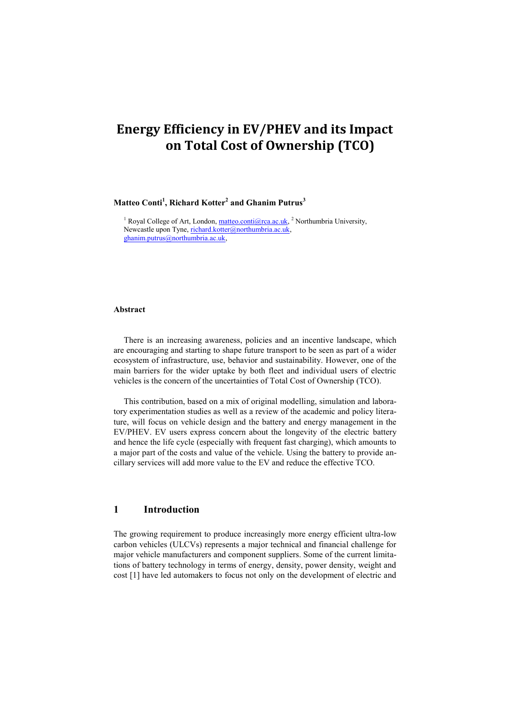# **Energy Efficiency in EV/PHEV and its Impact on Total Cost of Ownership (TCO)**

# **Matteo Conti<sup>1</sup> , Richard Kotter<sup>2</sup> and Ghanim Putrus<sup>3</sup>**

<sup>1</sup> Royal College of Art, London,  $\frac{\text{matter.} \cos(\omega x)}{\omega \cosh(\omega x)}$  Northumbria University, Newcastle upon Tyne, [richard.kotter@northumbria.ac.uk,](mailto:richard.kotter@northumbria.ac.uk)  [ghanim.putrus@northumbria.ac.uk,](mailto:ghanim.putrus@northumbria.ac.uk)

#### **Abstract**

There is an increasing awareness, policies and an incentive landscape, which are encouraging and starting to shape future transport to be seen as part of a wider ecosystem of infrastructure, use, behavior and sustainability. However, one of the main barriers for the wider uptake by both fleet and individual users of electric vehicles is the concern of the uncertainties of Total Cost of Ownership (TCO).

This contribution, based on a mix of original modelling, simulation and laboratory experimentation studies as well as a review of the academic and policy literature, will focus on vehicle design and the battery and energy management in the EV/PHEV. EV users express concern about the longevity of the electric battery and hence the life cycle (especially with frequent fast charging), which amounts to a major part of the costs and value of the vehicle. Using the battery to provide ancillary services will add more value to the EV and reduce the effective TCO.

# **1 Introduction**

The growing requirement to produce increasingly more energy efficient ultra-low carbon vehicles (ULCVs) represents a major technical and financial challenge for major vehicle manufacturers and component suppliers. Some of the current limitations of battery technology in terms of energy, density, power density, weight and cost [1] have led automakers to focus not only on the development of electric and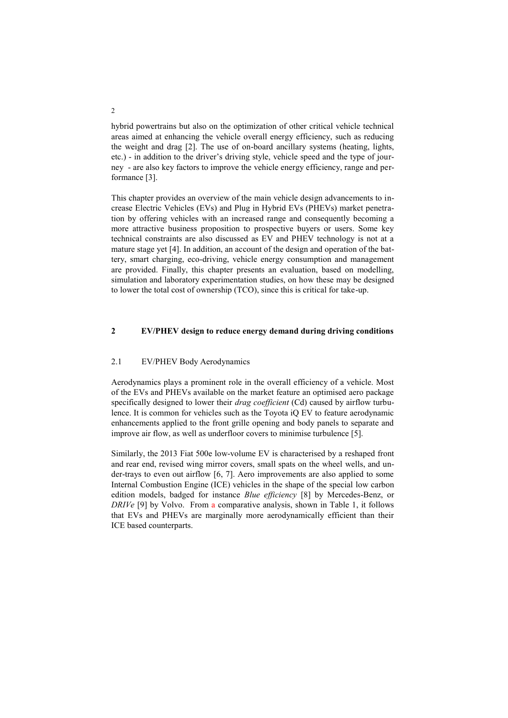hybrid powertrains but also on the optimization of other critical vehicle technical areas aimed at enhancing the vehicle overall energy efficiency, such as reducing the weight and drag [2]. The use of on-board ancillary systems (heating, lights, etc.) - in addition to the driver's driving style, vehicle speed and the type of journey - are also key factors to improve the vehicle energy efficiency, range and performance [3].

This chapter provides an overview of the main vehicle design advancements to increase Electric Vehicles (EVs) and Plug in Hybrid EVs (PHEVs) market penetration by offering vehicles with an increased range and consequently becoming a more attractive business proposition to prospective buyers or users. Some key technical constraints are also discussed as EV and PHEV technology is not at a mature stage yet [4]. In addition, an account of the design and operation of the battery, smart charging, eco-driving, vehicle energy consumption and management are provided. Finally, this chapter presents an evaluation, based on modelling, simulation and laboratory experimentation studies, on how these may be designed to lower the total cost of ownership (TCO), since this is critical for take-up.

## **2 EV/PHEV design to reduce energy demand during driving conditions**

#### 2.1 EV/PHEV Body Aerodynamics

Aerodynamics plays a prominent role in the overall efficiency of a vehicle. Most of the EVs and PHEVs available on the market feature an optimised aero package specifically designed to lower their *drag coefficient* (Cd) caused by airflow turbulence. It is common for vehicles such as the Toyota iQ EV to feature aerodynamic enhancements applied to the front grille opening and body panels to separate and improve air flow, as well as underfloor covers to minimise turbulence [5].

Similarly, the [2013 Fiat 500e](http://www.greencarreports.com/news/1083528_2013-fiat-500e-electric-car-first-drive) low-volume [EV](http://www.greencarreports.com/news/1068832_electric-cars-some-are-real-most-are-only-compliance-cars--we-name-names) is characterised by a reshaped front and rear end, revised wing mirror covers, small spats on the wheel wells, and under-trays to even out airflow [6, 7]. Aero improvements are also applied to some Internal Combustion Engine (ICE) vehicles in the shape of the special low carbon edition models, badged for instance *Blue efficiency* [8] by Mercedes-Benz, or *DRIVe* [9] by Volvo. From a comparative analysis, shown in Table 1, it follows that EVs and PHEVs are marginally more aerodynamically efficient than their ICE based counterparts.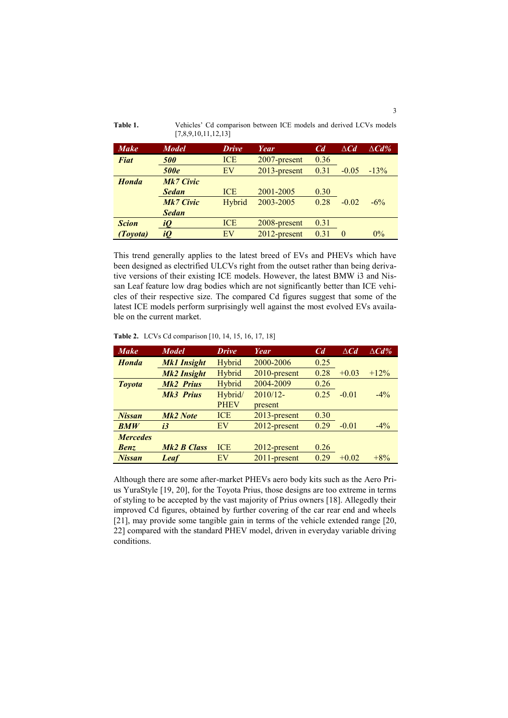| <b>Make</b>  | <b>Model</b>      | <b>Drive</b> | Year            | C <sub>d</sub> | $\triangle Cd$ | $\triangle Cd\%$ |
|--------------|-------------------|--------------|-----------------|----------------|----------------|------------------|
| <b>Fiat</b>  | <i><b>500</b></i> | <b>ICE</b>   | 2007-present    | 0.36           |                |                  |
|              | 500e              | EV           | $2013$ -present | 0.31           | $-0.05$        | $-13\%$          |
| Honda        | <b>Mk7 Civic</b>  |              |                 |                |                |                  |
|              | <b>Sedan</b>      | <b>ICE</b>   | 2001-2005       | 0.30           |                |                  |
|              | <b>Mk7 Civic</b>  | Hybrid       | 2003-2005       | 0.28           | $-0.02$        | $-6\%$           |
|              | <b>Sedan</b>      |              |                 |                |                |                  |
| <b>Scion</b> | iQ                | <b>ICE</b>   | 2008-present    | 0.31           |                |                  |
| (Toyota)     | iQ                | EV           | 2012-present    | 0.31           | $\Omega$       | $0\%$            |

Table 1. Vehicles' Cd comparison between ICE models and derived LCVs models [7,8,9,10,11,12,13]

This trend generally applies to the latest breed of EVs and PHEVs which have been designed as electrified ULCVs right from the outset rather than being derivative versions of their existing ICE models. However, the latest BMW i3 and Nissan Leaf feature low drag bodies which are not significantly better than ICE vehicles of their respective size. The compared Cd figures suggest that some of the latest ICE models perform surprisingly well against the most evolved EVs available on the current market.

|  |  | <b>Table 2.</b> LCVs Cd comparison [10, 14, 15, 16, 17, 18] |  |  |  |  |  |  |  |
|--|--|-------------------------------------------------------------|--|--|--|--|--|--|--|
|--|--|-------------------------------------------------------------|--|--|--|--|--|--|--|

| <b>Make</b>     | <b>Model</b>       | <b>Drive</b>  | Year            | $C_d$ | $\triangle Cd$ | $\triangle C d\%$ |
|-----------------|--------------------|---------------|-----------------|-------|----------------|-------------------|
| <b>Honda</b>    | <b>Mk1</b> Insight | <b>Hybrid</b> | 2000-2006       | 0.25  |                |                   |
|                 | <b>Mk2</b> Insight | <b>Hybrid</b> | 2010-present    | 0.28  | $+0.03$        | $+12%$            |
| <b>Toyota</b>   | <b>Mk2 Prius</b>   | <b>Hybrid</b> | 2004-2009       | 0.26  |                |                   |
|                 | <b>Mk3</b> Prius   | Hybrid/       | 2010/12         | 0.25  | $-0.01$        | $-4\%$            |
|                 |                    | <b>PHEV</b>   | present         |       |                |                   |
| <b>Nissan</b>   | <b>Mk2</b> Note    | <b>ICE</b>    | $2013$ -present | 0.30  |                |                   |
| <b>BMW</b>      | i3                 | EV            | 2012-present    | 0.29  | $-0.01$        | $-4\%$            |
| <b>Mercedes</b> |                    |               |                 |       |                |                   |
| <b>Benz</b>     | <b>Mk2 B Class</b> | <b>ICE</b>    | $2012$ -present | 0.26  |                |                   |
| <b>Nissan</b>   | Leaf               | EV            | $2011$ -present | 0.29  | $+0.02$        | $+8%$             |

Although there are some after-market PHEVs aero body kits such as the Aero Prius YuraStyle [19, 20], for the Toyota Prius, those designs are too extreme in terms of styling to be accepted by the vast majority of Prius owners [18]. Allegedly their improved Cd figures, obtained by further covering of the car rear end and wheels [21], may provide some tangible gain in terms of the vehicle extended range [20, 22] compared with the standard PHEV model, driven in everyday variable driving conditions.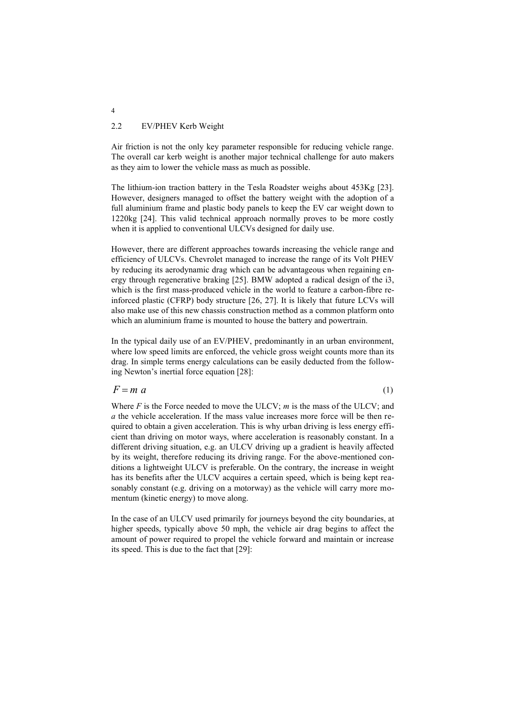#### 2.2 EV/PHEV Kerb Weight

Air friction is not the only key parameter responsible for reducing vehicle range. The overall car kerb weight is another major technical challenge for auto makers as they aim to lower the vehicle mass as much as possible.

The lithium-ion traction battery in the Tesla Roadster weighs about 453Kg [23]. However, designers managed to offset the battery weight with the adoption of a full aluminium frame and plastic body panels to keep the EV car weight down to 1220kg [24]. This valid technical approach normally proves to be more costly when it is applied to conventional ULCVs designed for daily use.

However, there are different approaches towards increasing the vehicle range and efficiency of ULCVs. Chevrolet managed to increase the range of its Volt PHEV by reducing its aerodynamic drag which can be advantageous when regaining energy through regenerative braking [25]. BMW adopted a radical design of the i3, which is the first mass-produced vehicle in the world to feature a carbon-fibre reinforced plastic (CFRP) body structure [26, 27]. It is likely that future LCVs will also make use of this new chassis construction method as a common platform onto which an aluminium frame is mounted to house the battery and powertrain.

In the typical daily use of an EV/PHEV, predominantly in an urban environment, where low speed limits are enforced, the vehicle gross weight counts more than its drag. In simple terms energy calculations can be easily deducted from the following Newton's inertial force equation [28]:

# $F = m \ a$

(1)

Where  $F$  is the Force needed to move the ULCV;  $m$  is the mass of the ULCV; and *a* the vehicle acceleration. If the mass value increases more force will be then required to obtain a given acceleration. This is why urban driving is less energy efficient than driving on motor ways, where acceleration is reasonably constant. In a different driving situation, e.g. an ULCV driving up a gradient is heavily affected by its weight, therefore reducing its driving range. For the above-mentioned conditions a lightweight ULCV is preferable. On the contrary, the increase in weight has its benefits after the ULCV acquires a certain speed, which is being kept reasonably constant (e.g. driving on a motorway) as the vehicle will carry more momentum (kinetic energy) to move along.

In the case of an ULCV used primarily for journeys beyond the city boundaries, at higher speeds, typically above 50 mph, the vehicle air drag begins to affect the amount of power required to propel the vehicle forward and maintain or increase its speed. This is due to the fact that [29]: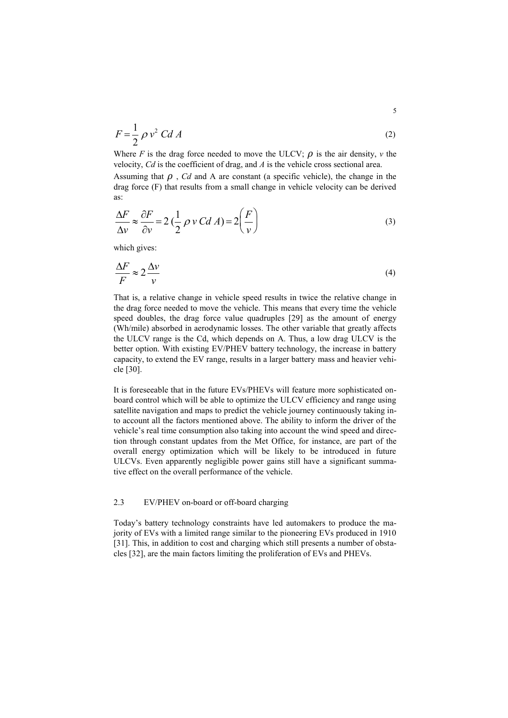$$
F = \frac{1}{2} \rho v^2 C d A \tag{2}
$$

Where *F* is the drag force needed to move the ULCV;  $\rho$  is the air density, *v* the velocity, *Cd* is the coefficient of drag, and *A* is the vehicle cross sectional area. Assuming that  $\rho$ , *Cd* and A are constant (a specific vehicle), the change in the drag force (F) that results from a small change in vehicle velocity can be derived as:

$$
\frac{\Delta F}{\Delta v} \approx \frac{\partial F}{\partial v} = 2\left(\frac{1}{2}\rho v C d A\right) = 2\left(\frac{F}{v}\right)
$$
\n(3)

which gives:

$$
\frac{\Delta F}{F} \approx 2 \frac{\Delta v}{v} \tag{4}
$$

That is, a relative change in vehicle speed results in twice the relative change in the drag force needed to move the vehicle. This means that every time the vehicle speed doubles, the drag force value quadruples [29] as the amount of energy (Wh/mile) absorbed in aerodynamic losses. The other variable that greatly affects the ULCV range is the Cd, which depends on A. Thus, a low drag ULCV is the better option. With existing EV/PHEV battery technology, the increase in battery capacity, to extend the EV range, results in a larger battery mass and heavier vehicle [30].

It is foreseeable that in the future EVs/PHEVs will feature more sophisticated onboard control which will be able to optimize the ULCV efficiency and range using satellite navigation and maps to predict the vehicle journey continuously taking into account all the factors mentioned above. The ability to inform the driver of the vehicle's real time consumption also taking into account the wind speed and direction through constant updates from the Met Office, for instance, are part of the overall energy optimization which will be likely to be introduced in future ULCVs. Even apparently negligible power gains still have a significant summative effect on the overall performance of the vehicle.

#### 2.3 EV/PHEV on-board or off-board charging

Today's battery technology constraints have led automakers to produce the majority of EVs with a limited range similar to the pioneering EVs produced in 1910 [31]. This, in addition to cost and charging which still presents a number of obstacles [32], are the main factors limiting the proliferation of EVs and PHEVs.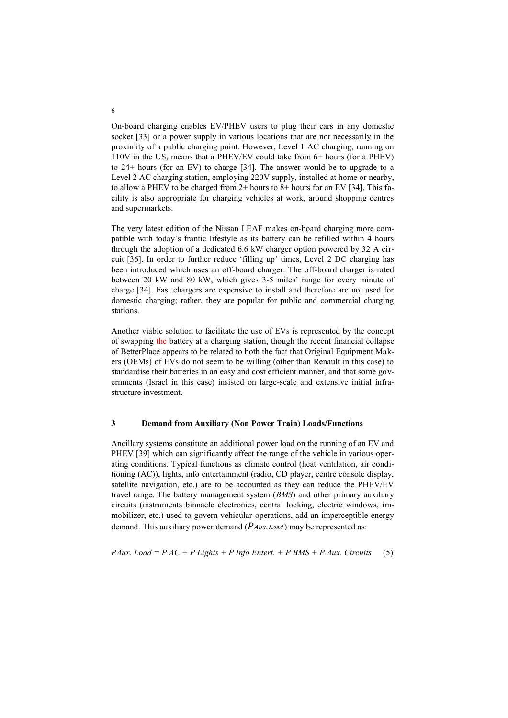On-board charging enables EV/PHEV users to plug their cars in any domestic socket [33] or a power supply in various locations that are not necessarily in the proximity of a public charging point. However, Level 1 AC charging, running on 110V in the US, means that a PHEV/EV could take from 6+ hours (for a PHEV) to 24+ hours (for an EV) to charge [34]. The answer would be to upgrade to a Level 2 AC charging station, employing 220V supply, installed at home or nearby, to allow a PHEV to be charged from  $2+$  hours to  $8+$  hours for an EV [34]. This facility is also appropriate for charging vehicles at work, around shopping centres and supermarkets.

The very latest edition of the Nissan LEAF makes on-board charging more compatible with today's frantic lifestyle as its battery can be refilled within 4 hours through the adoption of a dedicated 6.6 kW charger option powered by 32 A circuit [36]. In order to further reduce 'filling up' times, Level 2 DC charging has been introduced which uses an off-board charger. The off-board charger is rated between 20 kW and 80 kW, which gives 3-5 miles' range for every minute of charge [34]. Fast chargers are expensive to install and therefore are not used for domestic charging; rather, they are popular for public and commercial charging stations.

Another viable solution to facilitate the use of EVs is represented by the concept of swapping the battery at a charging station, though the recent financial collapse of BetterPlace appears to be related to both the fact that Original Equipment Makers (OEMs) of EVs do not seem to be willing (other than Renault in this case) to standardise their batteries in an easy and cost efficient manner, and that some governments (Israel in this case) insisted on large-scale and extensive initial infrastructure investment.

#### **3 Demand from Auxiliary (Non Power Train) Loads/Functions**

Ancillary systems constitute an additional power load on the running of an EV and PHEV [39] which can significantly affect the range of the vehicle in various operating conditions. Typical functions as climate control (heat ventilation, air conditioning (AC)), lights, info entertainment (radio, CD player, centre console display, satellite navigation, etc.) are to be accounted as they can reduce the PHEV/EV travel range. The battery management system (*BMS*) and other primary auxiliary circuits (instruments binnacle electronics, central locking, electric windows, immobilizer, etc.) used to govern vehicular operations, add an imperceptible energy demand. This auxiliary power demand ( $P_{Aux.$  Load) may be represented as:

*PAux. Load = PAC + P Lights + P Info Entert. + P BMS + P Aux. Circuits* (5)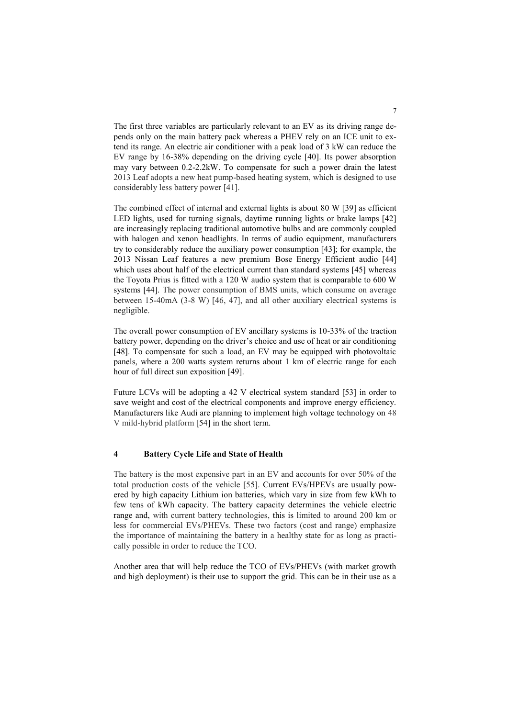The first three variables are particularly relevant to an EV as its driving range depends only on the main battery pack whereas a PHEV rely on an ICE unit to extend its range. An electric air conditioner with a peak load of 3 kW can reduce the EV range by 16-38% depending on the driving cycle [40]. Its power absorption may vary between 0.2-2.2kW. To compensate for such a power drain the latest 2013 Leaf adopts a new heat pump-based heating system, which is designed to use considerably less battery power [41].

The combined effect of internal and external lights is about 80 W [39] as efficient LED lights, used for turning signals, daytime running lights or brake lamps [42] are increasingly replacing traditional automotive bulbs and are commonly coupled with halogen and xenon headlights. In terms of audio equipment, manufacturers try to considerably reduce the auxiliary power consumption [43]; for example, the 2013 Nissan Leaf features a new premium Bose Energy Efficient audio [44] which uses about half of the electrical current than standard systems [45] whereas the Toyota Prius is fitted with a 120 W audio system that is comparable to 600 W systems [44]. The power consumption of BMS units, which consume on average between 15-40mA (3-8 W) [46, 47], and all other auxiliary electrical systems is negligible.

The overall power consumption of EV ancillary systems is 10-33% of the traction battery power, depending on the driver's choice and use of heat or air conditioning [48]. To compensate for such a load, an EV may be equipped with photovoltaic panels, where a 200 watts system returns about 1 km of electric range for each hour of full direct sun exposition [49].

Future LCVs will be adopting a [42 V electrical system](http://en.wikipedia.org/wiki/42-volt_electrical_system) standard [53] in order to save weight and cost of the electrical components and improve energy efficiency. Manufacturers like Audi are planning to implement high voltage technology on 48 V mild-hybrid platform [54] in the short term.

#### **4 Battery Cycle Life and State of Health**

The battery is the most expensive part in an EV and accounts for over 50% of the total production costs of the vehicle [55]. Current EVs/HPEVs are usually powered by high capacity Lithium ion batteries, which vary in size from few kWh to few tens of kWh capacity. The battery capacity determines the vehicle electric range and, with current battery technologies, this is limited to around 200 km or less for commercial EVs/PHEVs. These two factors (cost and range) emphasize the importance of maintaining the battery in a healthy state for as long as practically possible in order to reduce the TCO.

Another area that will help reduce the TCO of EVs/PHEVs (with market growth and high deployment) is their use to support the grid. This can be in their use as a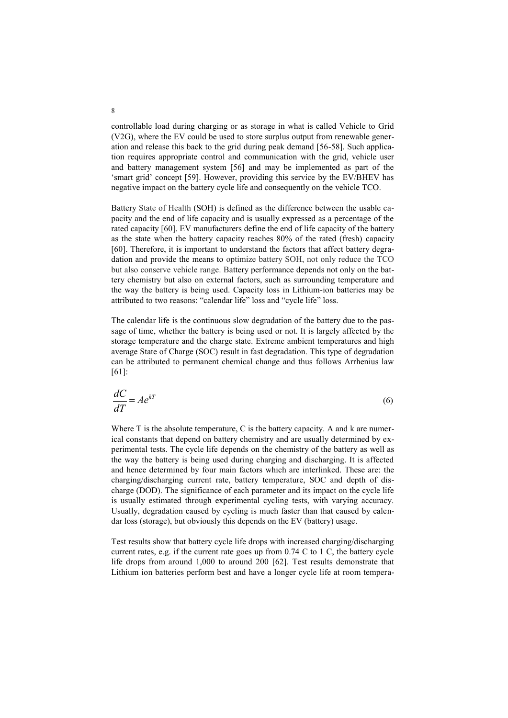controllable load during charging or as storage in what is called Vehicle to Grid (V2G), where the EV could be used to store surplus output from renewable generation and release this back to the grid during peak demand [56-58]. Such application requires appropriate control and communication with the grid, vehicle user and battery management system [56] and may be implemented as part of the 'smart grid' concept [59]. However, providing this service by the EV/BHEV has negative impact on the battery cycle life and consequently on the vehicle TCO.

Battery State of Health (SOH) is defined as the difference between the usable capacity and the end of life capacity and is usually expressed as a percentage of the rated capacity [60]. EV manufacturers define the end of life capacity of the battery as the state when the battery capacity reaches 80% of the rated (fresh) capacity [60]. Therefore, it is important to understand the factors that affect battery degradation and provide the means to optimize battery SOH, not only reduce the TCO but also conserve vehicle range. Battery performance depends not only on the battery chemistry but also on external factors, such as surrounding temperature and the way the battery is being used. Capacity loss in Lithium-ion batteries may be attributed to two reasons: "calendar life" loss and "cycle life" loss.

The calendar life is the continuous slow degradation of the battery due to the passage of time, whether the battery is being used or not. It is largely affected by the storage temperature and the charge state. Extreme ambient temperatures and high average State of Charge (SOC) result in fast degradation. This type of degradation can be attributed to permanent chemical change and thus follows Arrhenius law [61]:

$$
\frac{dC}{dT} = Ae^{kT} \tag{6}
$$

Where T is the absolute temperature, C is the battery capacity. A and k are numerical constants that depend on battery chemistry and are usually determined by experimental tests. The cycle life depends on the chemistry of the battery as well as the way the battery is being used during charging and discharging. It is affected and hence determined by four main factors which are interlinked. These are: the charging/discharging current rate, battery temperature, SOC and depth of discharge (DOD). The significance of each parameter and its impact on the cycle life is usually estimated through experimental cycling tests, with varying accuracy. Usually, degradation caused by cycling is much faster than that caused by calendar loss (storage), but obviously this depends on the EV (battery) usage.

Test results show that battery cycle life drops with increased charging/discharging current rates, e.g. if the current rate goes up from 0.74 C to 1 C, the battery cycle life drops from around 1,000 to around 200 [62]. Test results demonstrate that Lithium ion batteries perform best and have a longer cycle life at room tempera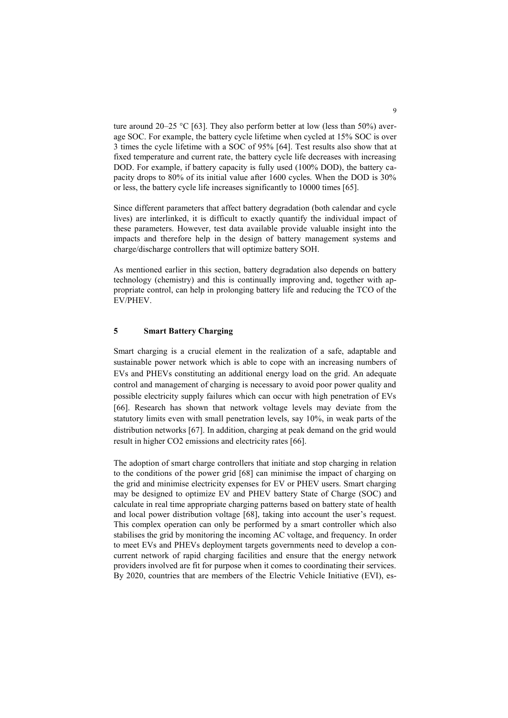ture around 20–25 °C [63]. They also perform better at low (less than 50%) average SOC. For example, the battery cycle lifetime when cycled at 15% SOC is over 3 times the cycle lifetime with a SOC of 95% [64]. Test results also show that at fixed temperature and current rate, the battery cycle life decreases with increasing DOD. For example, if battery capacity is fully used (100% DOD), the battery capacity drops to 80% of its initial value after 1600 cycles. When the DOD is 30% or less, the battery cycle life increases significantly to 10000 times [65].

Since different parameters that affect battery degradation (both calendar and cycle lives) are interlinked, it is difficult to exactly quantify the individual impact of these parameters. However, test data available provide valuable insight into the impacts and therefore help in the design of battery management systems and charge/discharge controllers that will optimize battery SOH.

As mentioned earlier in this section, battery degradation also depends on battery technology (chemistry) and this is continually improving and, together with appropriate control, can help in prolonging battery life and reducing the TCO of the EV/PHEV.

# **5 Smart Battery Charging**

Smart charging is a crucial element in the realization of a safe, adaptable and sustainable power network which is able to cope with an increasing numbers of EVs and PHEVs constituting an additional energy load on the grid. An adequate control and management of charging is necessary to avoid poor power quality and possible electricity supply failures which can occur with high penetration of EVs [66]. Research has shown that network voltage levels may deviate from the statutory limits even with small penetration levels, say 10%, in weak parts of the distribution networks [67]. In addition, charging at peak demand on the grid would result in higher CO2 emissions and electricity rates [66].

The adoption of smart charge controllers that initiate and stop charging in relation to the conditions of the power grid [68] can minimise the impact of charging on the grid and minimise electricity expenses for EV or PHEV users. Smart charging may be designed to optimize EV and PHEV battery State of Charge (SOC) and calculate in real time appropriate charging patterns based on battery state of health and local power distribution voltage [68], taking into account the user's request. This complex operation can only be performed by a smart controller which also stabilises the grid by monitoring the incoming AC voltage, and frequency. In order to meet EVs and PHEVs deployment targets governments need to develop a concurrent network of rapid charging facilities and ensure that the energy network providers involved are fit for purpose when it comes to coordinating their services. By 2020, countries that are members of the Electric Vehicle Initiative (EVI), es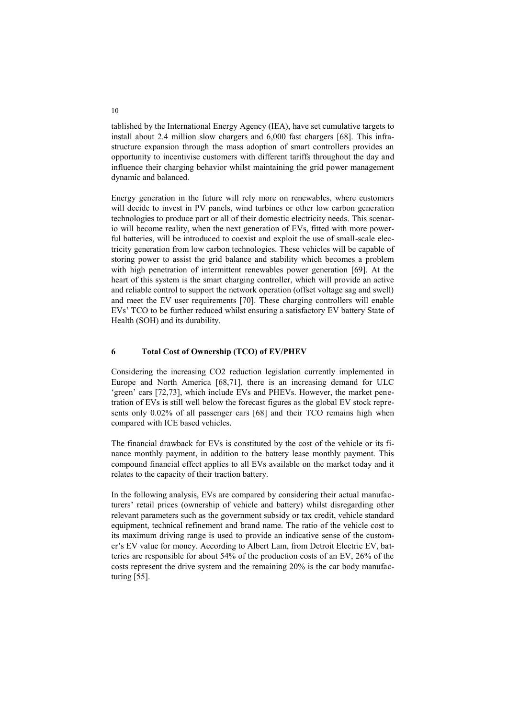tablished by the International Energy Agency (IEA), have set cumulative targets to install about 2.4 million slow chargers and 6,000 fast chargers [68]. This infrastructure expansion through the mass adoption of smart controllers provides an opportunity to incentivise customers with different tariffs throughout the day and influence their charging behavior whilst maintaining the grid power management dynamic and balanced.

Energy generation in the future will rely more on renewables, where customers will decide to invest in PV panels, wind turbines or other low carbon generation technologies to produce part or all of their domestic electricity needs. This scenario will become reality, when the next generation of EVs, fitted with more powerful batteries, will be introduced to coexist and exploit the use of small-scale electricity generation from low carbon technologies. These vehicles will be capable of storing power to assist the grid balance and stability which becomes a problem with high penetration of intermittent renewables power generation [69]. At the heart of this system is the smart charging controller, which will provide an active and reliable control to support the network operation (offset voltage sag and swell) and meet the EV user requirements [70]. These charging controllers will enable EVs' TCO to be further reduced whilst ensuring a satisfactory EV battery State of Health (SOH) and its durability.

## **6 Total Cost of Ownership (TCO) of EV/PHEV**

Considering the increasing CO2 reduction legislation currently implemented in Europe and North America [68,71], there is an increasing demand for ULC 'green' cars [72,73], which include EVs and PHEVs. However, the market penetration of EVs is still well below the forecast figures as the global EV stock represents only 0.02% of all passenger cars [68] and their TCO remains high when compared with ICE based vehicles.

The financial drawback for EVs is constituted by the cost of the vehicle or its finance monthly payment, in addition to the battery lease monthly payment. This compound financial effect applies to all EVs available on the market today and it relates to the capacity of their traction battery.

In the following analysis, EVs are compared by considering their actual manufacturers' retail prices (ownership of vehicle and battery) whilst disregarding other relevant parameters such as the government subsidy or tax credit, vehicle standard equipment, technical refinement and brand name. The ratio of the vehicle cost to its maximum driving range is used to provide an indicative sense of the customer's EV value for money. According to Albert Lam, from Detroit Electric EV, batteries are responsible for about 54% of the production costs of an EV, 26% of the costs represent the drive system and the remaining 20% is the car body manufacturing [55].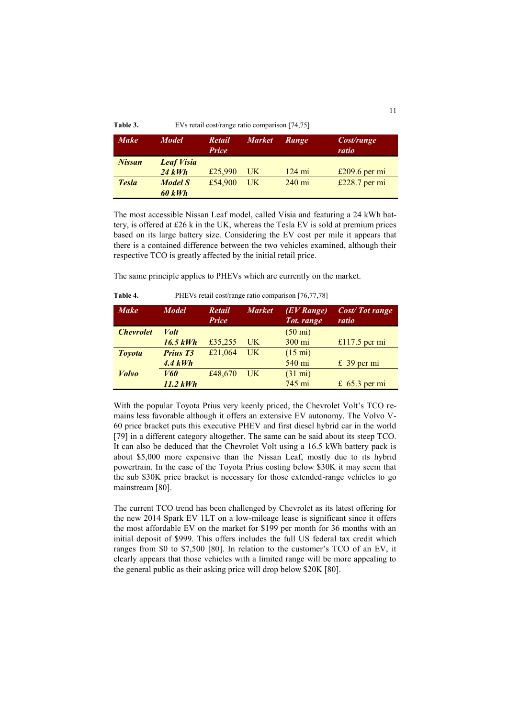| Table 3.      | EVs retail cost/range ratio comparison [74,75] |                 |               |                  |                     |  |
|---------------|------------------------------------------------|-----------------|---------------|------------------|---------------------|--|
| <b>Make</b>   | <b>Model</b>                                   | Retail<br>Price | <b>Market</b> | Range            | Cost/range<br>ratio |  |
| <b>Nissan</b> | <b>Leaf Visia</b>                              |                 |               |                  |                     |  |
|               | $24$ kWh                                       | £25,990         | UK.           | $124 \text{ mi}$ | £209.6 per mi       |  |
| <b>Tesla</b>  | Model S                                        | £54,900         | UK.           | $240 \text{ mi}$ | £228.7 per mi       |  |
|               | 60 kWh                                         |                 |               |                  |                     |  |

The most accessible Nissan Leaf model, called Visia and featuring a 24 kWh battery, is offered at £26 k in the UK, whereas the Tesla EV is sold at premium prices based on its large battery size. Considering the EV cost per mile it appears that there is a contained difference between the two vehicles examined, although their respective TCO is greatly affected by the initial retail price.

The same principle applies to PHEVs which are currently on the market.

| <b>Make</b>      | <b>Model</b>    | <b>Retail</b><br>Price | <b>Market</b> | (EV Range)<br>Tot. range | Cost/Tot range<br>ratio |
|------------------|-----------------|------------------------|---------------|--------------------------|-------------------------|
| <b>Chevrolet</b> | <b>Volt</b>     |                        |               | $(50 \text{ mi})$        |                         |
|                  | $16.5$ kWh      | £35,255                | UK.           | $300 \text{ mi}$         | £117.5 per mi           |
| <b>Toyota</b>    | <b>Prius T3</b> | £21,064                | UK.           | $(15 \text{ mi})$        |                         |
|                  | $4.4 \, kWh$    |                        |               | 540 mi                   | $£$ 39 per mi           |
| <b>Volvo</b>     | <b>V60</b>      | £48,670                | UK.           | $(31 \text{ mi})$        |                         |
|                  | $11.2$ kWh      |                        |               | 745 mi                   | £ $65.3$ per mi         |

**Table 4.** PHEVs retail cost/range ratio comparison [76,77,78]

With the popular Toyota Prius very keenly priced, the Chevrolet Volt's TCO remains less favorable although it offers an extensive EV autonomy. The Volvo V-60 price bracket puts this executive PHEV and first diesel hybrid car in the world [79] in a different category altogether. The same can be said about its steep TCO. It can also be deduced that the Chevrolet Volt using a 16.5 kWh battery pack is about \$5,000 more expensive than the Nissan Leaf, mostly due to its hybrid powertrain. In the case of the Toyota Prius costing below \$30K it may seem that the sub \$30K price bracket is necessary for those extended-range vehicles to go mainstream [80].

The current TCO trend has been challenged by Chevrolet as its latest offering for the new 2014 Spark EV 1LT on a low-mileage lease is significant since it offers the most affordable EV on the market for \$199 per month for 36 months with an initial deposit of \$999. This offers includes the full US federal tax credit which ranges from \$0 to \$7,500 [80]. In relation to the customer's TCO of an EV, it clearly appears that those vehicles with a limited range will be more appealing to the general public as their asking price will drop below \$20K [80].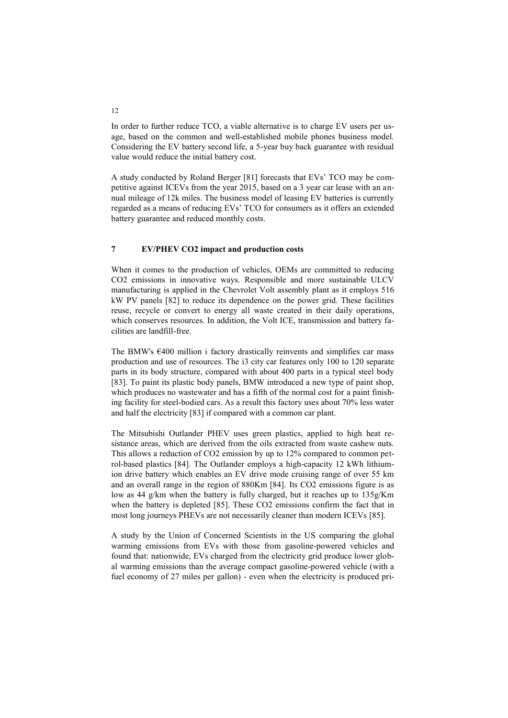In order to further reduce TCO, a viable alternative is to charge EV users per usage, based on the common and well-established mobile phones business model. Considering the EV battery second life, a 5-year buy back guarantee with residual value would reduce the initial battery cost.

A study conducted by Roland Berger [81] forecasts that EVs' TCO may be competitive against ICEVs from the year 2015, based on a 3 year car lease with an annual mileage of 12k miles. The business model of leasing EV batteries is currently regarded as a means of reducing EVs' TCO for consumers as it offers an extended battery guarantee and reduced monthly costs.

# **7 EV/PHEV CO2 impact and production costs**

When it comes to the production of vehicles, OEMs are committed to reducing CO2 emissions in innovative ways. Responsible and more sustainable ULCV manufacturing is applied in the Chevrolet Volt assembly plant as it employs 516 kW PV panels [82] to reduce its dependence on the power grid. These facilities reuse, recycle or convert to energy all waste created in their daily operations, which conserves resources. In addition, the Volt ICE, transmission and battery facilities are landfill-free.

The BMW's  $\epsilon$ 400 million i factory drastically reinvents and simplifies car mass production and use of resources. The i3 city car features only 100 to 120 separate parts in its body structure, compared with about 400 parts in a typical steel body [83]. To paint its plastic body panels, BMW introduced a new type of paint shop, which produces no wastewater and has a fifth of the normal cost for a paint finishing facility for steel-bodied cars. As a result this factory uses about 70% less water and half the electricity [83] if compared with a common car plant.

The Mitsubishi Outlander PHEV uses green plastics, applied to high heat resistance areas, which are derived from the oils extracted from waste cashew nuts. This allows a reduction of CO2 emission by up to 12% compared to common petrol-based plastics [84]. The Outlander employs a high-capacity 12 kWh lithiumion drive battery which enables an EV drive mode cruising range of over 55 km and an overall range in the region of 880Km [84]. Its CO2 emissions figure is as low as 44 g/km when the battery is fully charged, but it reaches up to 135g/Km when the battery is depleted [85]. These CO2 emissions confirm the fact that in most long journeys PHEVs are not necessarily cleaner than modern ICEVs [85].

A study by the Union of Concerned Scientists in the US comparing the global warming emissions from EVs with those from gasoline-powered vehicles and found that: nationwide, EVs charged from the electricity grid produce lower global warming emissions than the average compact gasoline-powered vehicle (with a fuel economy of 27 miles per gallon) - even when the electricity is produced pri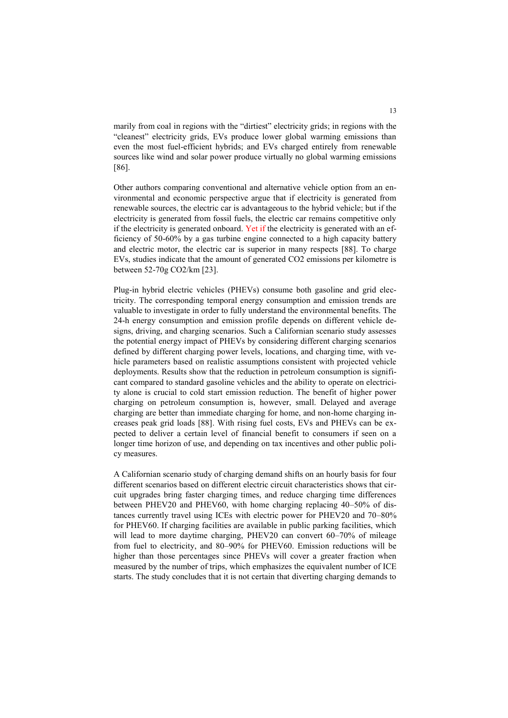marily from coal in regions with the "dirtiest" electricity grids; in regions with the "cleanest" electricity grids, EVs produce lower global warming emissions than even the most fuel-efficient hybrids; and EVs charged entirely from renewable sources like wind and solar power produce virtually no global warming emissions [86].

Other authors comparing conventional and alternative vehicle option from an environmental and economic perspective argue that if electricity is generated from renewable sources, the electric car is advantageous to the hybrid vehicle; but if the electricity is generated from fossil fuels, the electric car remains competitive only if the electricity is generated onboard. Yet if the electricity is generated with an efficiency of 50-60% by a gas turbine engine connected to a high capacity battery and electric motor, the electric car is superior in many respects [88]. To charge EVs, studies indicate that the amount of generated CO2 emissions per kilometre is between 52-70g CO2/km [23].

Plug-in hybrid electric vehicles (PHEVs) consume both gasoline and grid electricity. The corresponding temporal energy consumption and emission trends are valuable to investigate in order to fully understand the environmental benefits. The 24-h energy consumption and emission profile depends on different vehicle designs, driving, and charging scenarios. Such a Californian scenario study assesses the potential energy impact of PHEVs by considering different charging scenarios defined by different charging power levels, locations, and charging time, with vehicle parameters based on realistic assumptions consistent with projected vehicle deployments. Results show that the reduction in petroleum consumption is significant compared to standard gasoline vehicles and the ability to operate on electricity alone is crucial to cold start emission reduction. The benefit of higher power charging on petroleum consumption is, however, small. Delayed and average charging are better than immediate charging for home, and non-home charging increases peak grid loads [88]. With rising fuel costs, EVs and PHEVs can be expected to deliver a certain level of financial benefit to consumers if seen on a longer time horizon of use, and depending on tax incentives and other public policy measures.

A Californian scenario study of charging demand shifts on an hourly basis for four different scenarios based on different electric circuit characteristics shows that circuit upgrades bring faster charging times, and reduce charging time differences between PHEV20 and PHEV60, with home charging replacing 40–50% of distances currently travel using ICEs with electric power for PHEV20 and 70–80% for PHEV60. If charging facilities are available in public parking facilities, which will lead to more daytime charging, PHEV20 can convert 60–70% of mileage from fuel to electricity, and 80–90% for PHEV60. Emission reductions will be higher than those percentages since PHEVs will cover a greater fraction when measured by the number of trips, which emphasizes the equivalent number of ICE starts. The study concludes that it is not certain that diverting charging demands to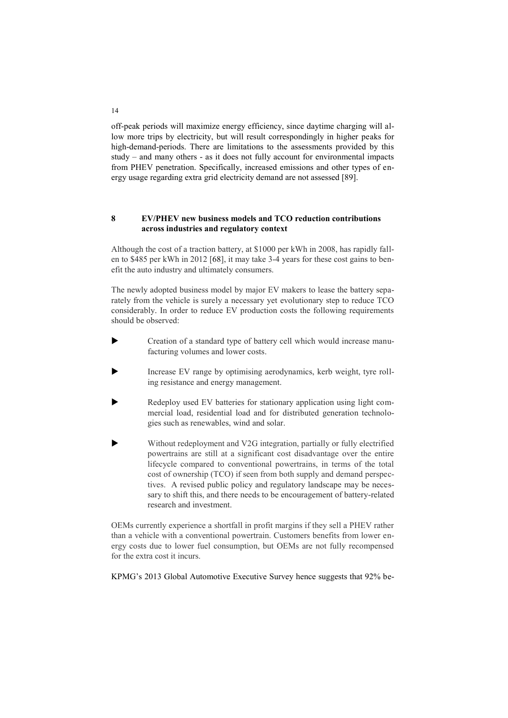off-peak periods will maximize energy efficiency, since daytime charging will allow more trips by electricity, but will result correspondingly in higher peaks for high-demand-periods. There are limitations to the assessments provided by this study – and many others - as it does not fully account for environmental impacts from PHEV penetration. Specifically, increased emissions and other types of energy usage regarding extra grid electricity demand are not assessed [89].

# **8 EV/PHEV new business models and TCO reduction contributions across industries and regulatory context**

Although the cost of a traction battery, at \$1000 per kWh in 2008, has rapidly fallen to \$485 per kWh in 2012 [68], it may take 3-4 years for these cost gains to benefit the auto industry and ultimately consumers.

The newly adopted business model by major EV makers to lease the battery separately from the vehicle is surely a necessary yet evolutionary step to reduce TCO considerably. In order to reduce EV production costs the following requirements should be observed:

- Creation of a standard type of battery cell which would increase manufacturing volumes and lower costs.
- Increase EV range by optimising aerodynamics, kerb weight, tyre rolling resistance and energy management.
- Redeploy used EV batteries for stationary application using light commercial load, residential load and for distributed generation technologies such as renewables, wind and solar.
- Without redeployment and V2G integration, partially or fully electrified powertrains are still at a significant cost disadvantage over the entire lifecycle compared to conventional powertrains, in terms of the total cost of ownership (TCO) if seen from both supply and demand perspectives. A revised public policy and regulatory landscape may be necessary to shift this, and there needs to be encouragement of battery-related research and investment.

OEMs currently experience a shortfall in profit margins if they sell a PHEV rather than a vehicle with a conventional powertrain. Customers benefits from lower energy costs due to lower fuel consumption, but OEMs are not fully recompensed for the extra cost it incurs.

KPMG's 2013 Global Automotive Executive Survey hence suggests that 92% be-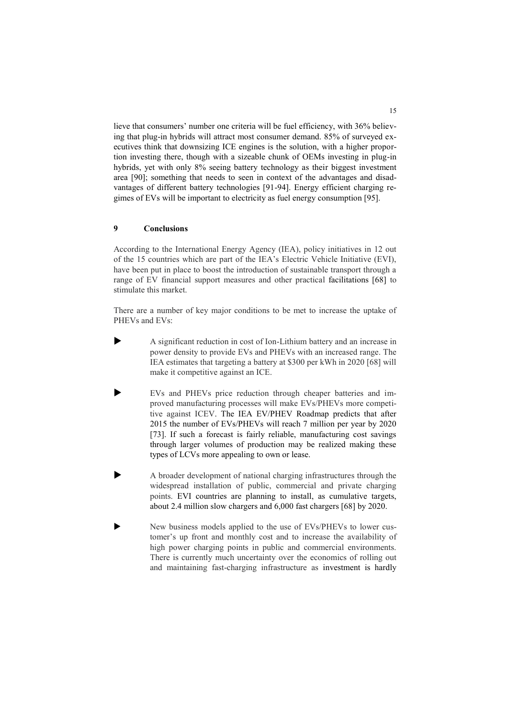lieve that consumers' number one criteria will be fuel efficiency, with 36% believing that plug-in hybrids will attract most consumer demand. 85% of surveyed executives think that downsizing ICE engines is the solution, with a higher proportion investing there, though with a sizeable chunk of OEMs investing in plug-in hybrids, yet with only 8% seeing battery technology as their biggest investment area [90]; something that needs to seen in context of the advantages and disadvantages of different battery technologies [91-94]. Energy efficient charging regimes of EVs will be important to electricity as fuel energy consumption [95].

# **9 Conclusions**

According to the International Energy Agency (IEA), policy initiatives in 12 out of the 15 countries which are part of the IEA's Electric Vehicle Initiative (EVI), have been put in place to boost the introduction of sustainable transport through a range of EV financial support measures and other practical facilitations [68] to stimulate this market.

There are a number of key major conditions to be met to increase the uptake of PHEVs and EVs:

- A significant reduction in cost of Ion-Lithium battery and an increase in power density to provide EVs and PHEVs with an increased range. The IEA estimates that targeting a battery at \$300 per kWh in 2020 [68] will make it competitive against an ICE.
- EVs and PHEVs price reduction through cheaper batteries and improved manufacturing processes will make EVs/PHEVs more competitive against ICEV. The IEA EV/PHEV Roadmap predicts that after 2015 the number of EVs/PHEVs will reach 7 million per year by 2020 [73]. If such a forecast is fairly reliable, manufacturing cost savings through larger volumes of production may be realized making these types of LCVs more appealing to own or lease.
- A broader development of national charging infrastructures through the widespread installation of public, commercial and private charging points. EVI countries are planning to install, as cumulative targets, about 2.4 million slow chargers and 6,000 fast chargers [68] by 2020.
- New business models applied to the use of EVs/PHEVs to lower customer's up front and monthly cost and to increase the availability of high power charging points in public and commercial environments. There is currently much uncertainty over the economics of rolling out and maintaining fast-charging infrastructure as investment is hardly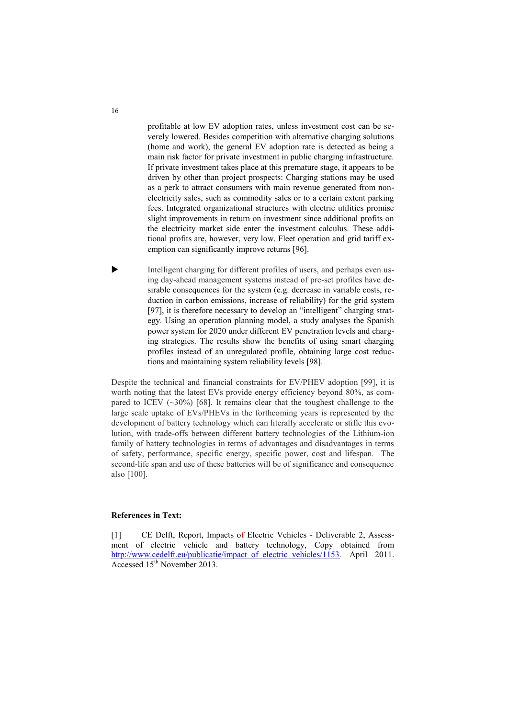profitable at low EV adoption rates, unless investment cost can be severely lowered. Besides competition with alternative charging solutions (home and work), the general EV adoption rate is detected as being a main risk factor for private investment in public charging infrastructure. If private investment takes place at this premature stage, it appears to be driven by other than project prospects: Charging stations may be used as a perk to attract consumers with main revenue generated from nonelectricity sales, such as commodity sales or to a certain extent parking fees. Integrated organizational structures with electric utilities promise slight improvements in return on investment since additional profits on the electricity market side enter the investment calculus. These additional profits are, however, very low. Fleet operation and grid tariff exemption can significantly improve returns [96].

 Intelligent charging for different profiles of users, and perhaps even using day-ahead management systems instead of pre-set profiles have desirable consequences for the system (e.g. decrease in variable costs, reduction in carbon emissions, increase of reliability) for the grid system [97], it is therefore necessary to develop an "intelligent" charging strategy. Using an operation planning model, a study analyses the Spanish power system for 2020 under different EV penetration levels and charging strategies. The results show the benefits of using smart charging profiles instead of an unregulated profile, obtaining large cost reductions and maintaining system reliability levels [98].

Despite the technical and financial constraints for EV/PHEV adoption [99], it is worth noting that the latest EVs provide energy efficiency beyond 80%, as compared to ICEV  $(\sim 30\%)$  [68]. It remains clear that the toughest challenge to the large scale uptake of EVs/PHEVs in the forthcoming years is represented by the development of battery technology which can literally accelerate or stifle this evolution, with trade-offs between different battery technologies of the Lithium-ion family of battery technologies in terms of advantages and disadvantages in terms of safety, performance, specific energy, specific power, cost and lifespan. The second-life span and use of these batteries will be of significance and consequence also [100].

#### **References in Text:**

[1] CE Delft, Report, Impacts of Electric Vehicles - Deliverable 2, Assessment of electric vehicle and battery technology, Copy obtained from [http://www.cedelft.eu/publicatie/impact\\_of\\_electric\\_vehicles/1153.](http://www.cedelft.eu/publicatie/impact_of_electric_vehicles/1153) April 2011. Accessed 15<sup>th</sup> November 2013.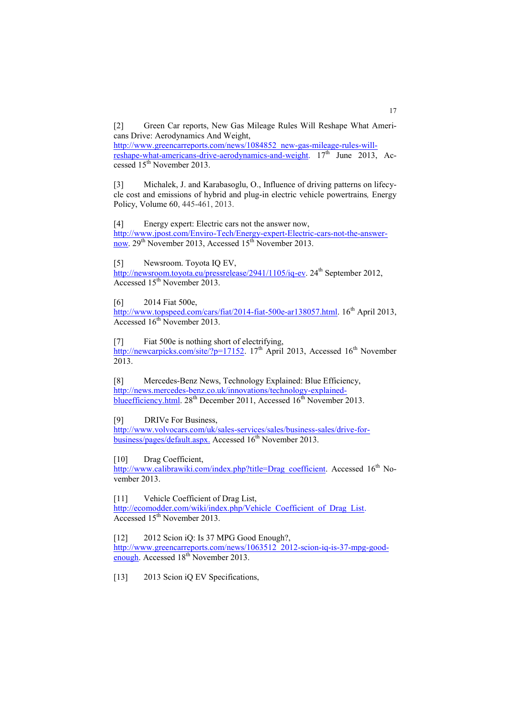[2] Green Car reports, New Gas Mileage Rules Will Reshape What Americans Drive: Aerodynamics And Weight,

[http://www.greencarreports.com/news/1084852\\_new-gas-mileage-rules-will](http://www.greencarreports.com/news/1084852_new-gas-mileage-rules-will-reshape-what-americans-drive-aerodynamics-and-weight)[reshape-what-americans-drive-aerodynamics-and-weight.](http://www.greencarreports.com/news/1084852_new-gas-mileage-rules-will-reshape-what-americans-drive-aerodynamics-and-weight)  $17<sup>th</sup>$  June 2013, Accessed 15<sup>th</sup> November 2013.

[3] Michalek, J. and Karabasoglu, O., Influence of driving patterns on lifecycle cost and emissions of hybrid and plug-in electric vehicle powertrains*,* Energy Policy, Volume [60,](http://www.sciencedirect.com/science/journal/03014215/60/supp/C) 445-461, 2013.

[4] Energy expert: Electric cars not the answer now, [http://www.jpost.com/Enviro-Tech/Energy-expert-Electric-cars-not-the-answer](http://www.jpost.com/Enviro-Tech/Energy-expert-Electric-cars-not-the-answer-now)[now.](http://www.jpost.com/Enviro-Tech/Energy-expert-Electric-cars-not-the-answer-now)  $29<sup>th</sup>$  November 2013, Accessed 15<sup>th</sup> November 2013.

[5] Newsroom. Toyota IQ EV,

http://newsroom.toyota.eu/pressrelease/2941/1105/jq-ev. 24<sup>th</sup> September 2012, Accessed 15<sup>th</sup> November 2013.

[6] 2014 Fiat 500e, [http://www.topspeed.com/cars/fiat/2014-fiat-500e-ar138057.html.](http://www.topspeed.com/cars/fiat/2014-fiat-500e-ar138057.html) 16<sup>th</sup> April 2013, Accessed 16<sup>th</sup> November 2013.

[7] Fiat 500e is nothing short of electrifying, [http://newcarpicks.com/site/?p=17152.](http://newcarpicks.com/site/?p=17152)  $17<sup>th</sup>$  April 2013, Accessed 16<sup>th</sup> November 2013

[8] Mercedes-Benz News, Technology Explained: Blue Efficiency, [http://news.mercedes-benz.co.uk/innovations/technology-explained](http://news.mercedes-benz.co.uk/innovations/technology-explained-blueefficiency.html)[blueefficiency.html.](http://news.mercedes-benz.co.uk/innovations/technology-explained-blueefficiency.html)  $28^{th}$  December 2011, Accessed  $16^{th}$  November 2013.

[9] DRIVe For Business,

[http://www.volvocars.com/uk/sales-services/sales/business-sales/drive-for](http://www.volvocars.com/uk/sales-services/sales/business-sales/drive-for-business/pages/default.aspx)[business/pages/default.aspx.](http://www.volvocars.com/uk/sales-services/sales/business-sales/drive-for-business/pages/default.aspx) Accessed 16<sup>th</sup> November 2013.

[10] Drag Coefficient,

[http://www.calibrawiki.com/index.php?title=Drag\\_coefficient.](http://www.calibrawiki.com/index.php?title=Drag_coefficient) Accessed 16<sup>th</sup> November 2013.

[11] Vehicle Coefficient of Drag List, [http://ecomodder.com/wiki/index.php/Vehicle\\_Coefficient\\_of\\_Drag\\_List.](http://ecomodder.com/wiki/index.php/Vehicle_Coefficient_of_Drag_List) Accessed 15<sup>th</sup> November 2013.

[12] 2012 Scion iO: Is 37 MPG Good Enough?, [http://www.greencarreports.com/news/1063512\\_2012-scion-iq-is-37-mpg-good](http://www.greencarreports.com/news/1063512_2012-scion-iq-is-37-mpg-good-enough)[enough.](http://www.greencarreports.com/news/1063512_2012-scion-iq-is-37-mpg-good-enough) Accessed 18<sup>th</sup> November 2013.

[13] 2013 Scion iQ EV Specifications,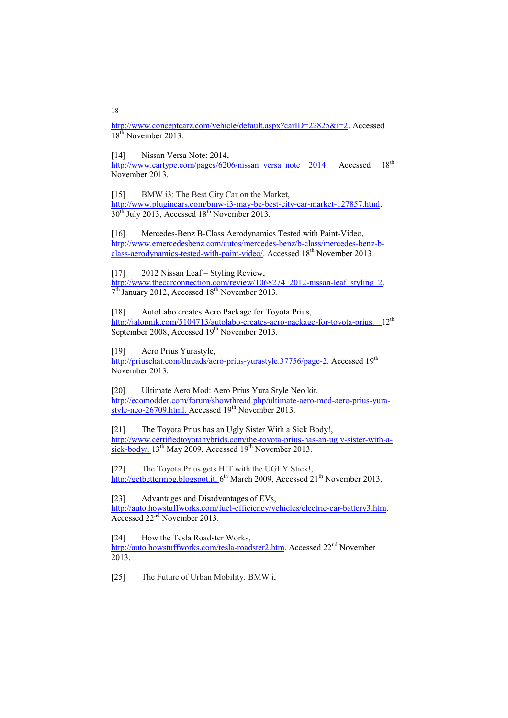[http://www.conceptcarz.com/vehicle/default.aspx?carID=22825&i=2.](http://www.conceptcarz.com/vehicle/default.aspx?carID=22825&i=2) Accessed 18<sup>th</sup> November 2013.

[14] Nissan Versa Note: 2014,

http://www.cartype.com/pages/6206/nissan\_versa\_note\_2014. Accessed 18<sup>th</sup> November 2013.

[15] BMW i3: The Best City Car on the Market, [http://www.plugincars.com/bmw-i3-may-be-best-city-car-market-127857.html.](http://www.plugincars.com/bmw-i3-may-be-best-city-car-market-127857.html)  $30<sup>th</sup>$  July 2013, Accessed 18<sup>th</sup> November 2013.

[16] Mercedes-Benz B-Class Aerodynamics Tested with Paint-Video, [http://www.emercedesbenz.com/autos/mercedes-benz/b-class/mercedes-benz-b](http://www.emercedesbenz.com/autos/mercedes-benz/b-class/mercedes-benz-b-class-aerodynamics-tested-with-paint-video/)[class-aerodynamics-tested-with-paint-video/.](http://www.emercedesbenz.com/autos/mercedes-benz/b-class/mercedes-benz-b-class-aerodynamics-tested-with-paint-video/) Accessed 18<sup>th</sup> November 2013.

[17] 2012 Nissan Leaf – Styling Review, [http://www.thecarconnection.com/review/1068274\\_2012-nissan-leaf\\_styling\\_2.](http://www.thecarconnection.com/review/1068274_2012-nissan-leaf_styling_2) 7<sup>th</sup> January 2012, Accessed 18<sup>th</sup> November 2013.

[18] [AutoLabo creates Aero Package for Toyota Prius,](http://jalopnik.com/5104713/autolabo-creates-aero-package-for-toyota-prius) [http://jalopnik.com/5104713/autolabo-creates-aero-package-for-toyota-prius.](http://jalopnik.com/5104713/autolabo-creates-aero-package-for-toyota-prius) 12<sup>th</sup> September 2008, Accessed 19<sup>th</sup> November 2013.

[19] Aero Prius Yurastyle,

[http://priuschat.com/threads/aero-prius-yurastyle.37756/page-2.](http://priuschat.com/threads/aero-prius-yurastyle.37756/page-2) Accessed 19<sup>th</sup> November 2013.

[20] Ultimate Aero Mod: Aero Prius Yura Style Neo kit, [http://ecomodder.com/forum/showthread.php/ultimate-aero-mod-aero-prius-yura](http://ecomodder.com/forum/showthread.php/ultimate-aero-mod-aero-prius-yura-style-neo-26709.html)[style-neo-26709.html.](http://ecomodder.com/forum/showthread.php/ultimate-aero-mod-aero-prius-yura-style-neo-26709.html) Accessed  $19<sup>th</sup>$  November 2013.

[21] [The Toyota Prius has an Ugly Sister With a Sick Body!,](http://www.certifiedtoyotahybrids.com/the-toyota-prius-has-an-ugly-sister-with-a-sick-body/) [http://www.certifiedtoyotahybrids.com/the-toyota-prius-has-an-ugly-sister-with-a](http://www.certifiedtoyotahybrids.com/the-toyota-prius-has-an-ugly-sister-with-a-sick-body/)sick-body/ $.13<sup>th</sup>$  May 2009, Accessed 19<sup>th</sup> November 2013.

[22] [The Toyota Prius gets HIT with the UGLY Stick!,](http://getbettermpg.blogspot.it/2009/03/toyota-prius-gets-hit-with-ugly-stick.html) [http://getbettermpg.blogspot.it.](http://getbettermpg.blogspot.it/) 6<sup>th</sup> March 2009, Accessed 21<sup>th</sup> November 2013.

[23] Advantages and Disadvantages of EVs, [http://auto.howstuffworks.com/fuel-efficiency/vehicles/electric-car-battery3.htm.](http://auto.howstuffworks.com/fuel-efficiency/vehicles/electric-car-battery3.htm) Accessed 22<sup>nd</sup> November 2013.

[24] How the Tesla Roadster Works, [http://auto.howstuffworks.com/tesla-roadster2.htm.](http://auto.howstuffworks.com/tesla-roadster2.htm) Accessed 22<sup>nd</sup> November 2013.

[25] The Future of Urban Mobility. BMW i,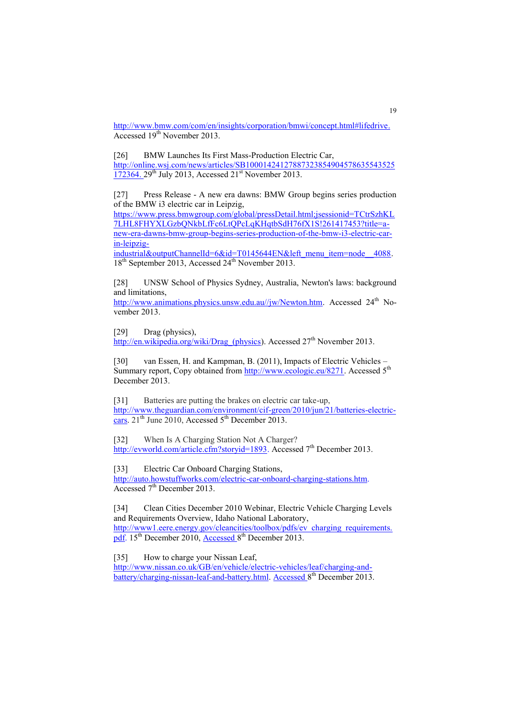[http://www.bmw.com/com/en/insights/corporation/bmwi/concept.html#lifedrive.](http://www.bmw.com/com/en/insights/corporation/bmwi/concept.html#lifedrive) Accessed 19th November 2013.

[26] BMW Launches Its First Mass-Production Electric Car, [http://online.wsj.com/news/articles/SB10001424127887323854904578635543525](http://online.wsj.com/news/articles/SB10001424127887323854904578635543525172364) [172364.](http://online.wsj.com/news/articles/SB10001424127887323854904578635543525172364) 29<sup>th</sup> July 2013, Accessed 21<sup>st</sup> November 2013.

[27] Press Release - A new era dawns: BMW Group begins series production of the BMW i3 electric car in Leipzig,

[https://www.press.bmwgroup.com/global/pressDetail.html;jsessionid=TCtrSzhKL](https://www.press.bmwgroup.com/global/pressDetail.html;jsessionid=TCtrSzhKL7LHL8FHYXLGzbQNkbLfFc6LtQPcLqKHqtbSdH76fX1S!261417453?title=a-new-era-dawns-bmw-group-begins-series-production-of-the-bmw-i3-electric-car-in-leipzig-industrial&outputChannelId=6&id=T0145644EN&left_menu_item=node__4088) [7LHL8FHYXLGzbQNkbLfFc6LtQPcLqKHqtbSdH76fX1S!261417453?title=a](https://www.press.bmwgroup.com/global/pressDetail.html;jsessionid=TCtrSzhKL7LHL8FHYXLGzbQNkbLfFc6LtQPcLqKHqtbSdH76fX1S!261417453?title=a-new-era-dawns-bmw-group-begins-series-production-of-the-bmw-i3-electric-car-in-leipzig-industrial&outputChannelId=6&id=T0145644EN&left_menu_item=node__4088)[new-era-dawns-bmw-group-begins-series-production-of-the-bmw-i3-electric-car](https://www.press.bmwgroup.com/global/pressDetail.html;jsessionid=TCtrSzhKL7LHL8FHYXLGzbQNkbLfFc6LtQPcLqKHqtbSdH76fX1S!261417453?title=a-new-era-dawns-bmw-group-begins-series-production-of-the-bmw-i3-electric-car-in-leipzig-industrial&outputChannelId=6&id=T0145644EN&left_menu_item=node__4088)[in-leipzig-](https://www.press.bmwgroup.com/global/pressDetail.html;jsessionid=TCtrSzhKL7LHL8FHYXLGzbQNkbLfFc6LtQPcLqKHqtbSdH76fX1S!261417453?title=a-new-era-dawns-bmw-group-begins-series-production-of-the-bmw-i3-electric-car-in-leipzig-industrial&outputChannelId=6&id=T0145644EN&left_menu_item=node__4088)

[industrial&outputChannelId=6&id=T0145644EN&left\\_menu\\_item=node\\_\\_4088.](https://www.press.bmwgroup.com/global/pressDetail.html;jsessionid=TCtrSzhKL7LHL8FHYXLGzbQNkbLfFc6LtQPcLqKHqtbSdH76fX1S!261417453?title=a-new-era-dawns-bmw-group-begins-series-production-of-the-bmw-i3-electric-car-in-leipzig-industrial&outputChannelId=6&id=T0145644EN&left_menu_item=node__4088) 18<sup>th</sup> September 2013, Accessed 24<sup>th</sup> November 2013.

[28] UNSW School of Physics Sydney, Australia, Newton's laws: background and limitations,

[http://www.animations.physics.unsw.edu.au//jw/Newton.htm.](http://www.animations.physics.unsw.edu.au/jw/Newton.htm) Accessed 24<sup>th</sup> November 2013.

[29] Drag (physics),

[http://en.wikipedia.org/wiki/Drag\\_\(physics\)](http://en.wikipedia.org/wiki/Drag_(physics). Accessed 27<sup>th</sup> November 2013.

[30] van Essen, H. and Kampman, B. (2011), Impacts of Electric Vehicles – Summary report, Copy obtained from [http://www.ecologic.eu/8271.](http://www.ecologic.eu/8271) Accessed 5<sup>th</sup> December 2013.

[31] Batteries are putting the brakes on electric car take-up, [http://www.theguardian.com/environment/cif-green/2010/jun/21/batteries-electric](http://www.theguardian.com/environment/cif-green/2010/jun/21/batteries-electric-cars)[cars.](http://www.theguardian.com/environment/cif-green/2010/jun/21/batteries-electric-cars)  $21^{th}$  June 2010, Accessed  $5^{th}$  December 2013.

[32] When Is A Charging Station Not A Charger? [http://evworld.com/article.cfm?storyid=1893.](http://evworld.com/article.cfm?storyid=1893) Accessed 7<sup>th</sup> December 2013.

[33] Electric Car Onboard Charging Stations, [http://auto.howstuffworks.com/electric-car-onboard-charging-stations.htm.](http://auto.howstuffworks.com/electric-car-onboard-charging-stations.htm) Accessed 7<sup>th</sup> December 2013.

[34] Clean Cities December 2010 Webinar, Electric Vehicle Charging Levels and Requirements Overview, Idaho National Laboratory, [http://www1.eere.energy.gov/cleancities/toolbox/pdfs/ev\\_charging\\_requirements.](http://www1.eere.energy.gov/cleancities/toolbox/pdfs/ev_charging_requirements.pdf) [pdf.](http://www1.eere.energy.gov/cleancities/toolbox/pdfs/ev_charging_requirements.pdf) 15<sup>th</sup> December 2010, Accessed 8<sup>th</sup> December 2013.

[35] How to charge your Nissan Leaf, [http://www.nissan.co.uk/GB/en/vehicle/electric-vehicles/leaf/charging-and](http://www.nissan.co.uk/GB/en/vehicle/electric-vehicles/leaf/charging-and-battery/charging-nissan-leaf-and-battery.html)[battery/charging-nissan-leaf-and-battery.html.](http://www.nissan.co.uk/GB/en/vehicle/electric-vehicles/leaf/charging-and-battery/charging-nissan-leaf-and-battery.html) Accessed 8<sup>th</sup> December 2013.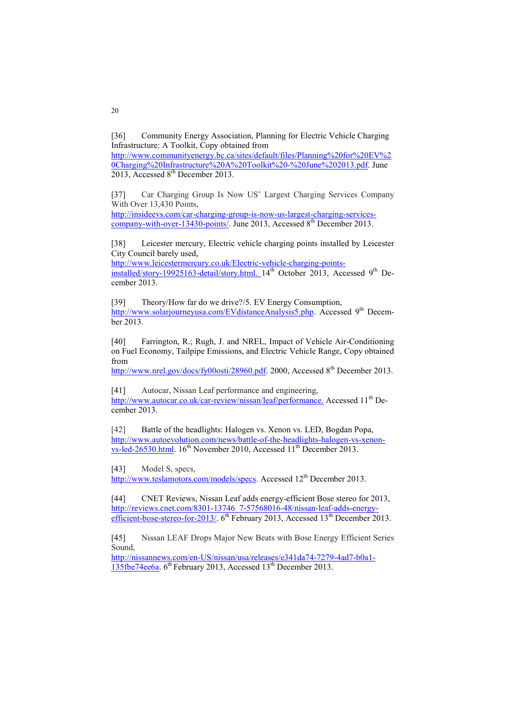[36] Community Energy Association, Planning for Electric Vehicle Charging Infrastructure: A Toolkit, Copy obtained from

[http://www.communityenergy.bc.ca/sites/default/files/Planning%20for%20EV%2](http://www.communityenergy.bc.ca/sites/default/files/Planning%20for%20EV%20Charging%20Infrastructure%20A%20Toolkit%20-%20June%202013.pdf) [0Charging%20Infrastructure%20A%20Toolkit%20-%20June%202013.pdf.](http://www.communityenergy.bc.ca/sites/default/files/Planning%20for%20EV%20Charging%20Infrastructure%20A%20Toolkit%20-%20June%202013.pdf) June 2013, Accessed 8<sup>th</sup> December 2013.

[37] Car Charging Group Is Now US' Largest Charging Services Company With Over 13,430 Points,

[http://insideevs.com/car-charging-group-is-now-us-largest-charging-services](http://insideevs.com/car-charging-group-is-now-us-largest-charging-services-company-with-over-13430-points/)[company-with-over-13430-points/.](http://insideevs.com/car-charging-group-is-now-us-largest-charging-services-company-with-over-13430-points/) June 2013, Accessed  $8<sup>th</sup>$  December 2013.

[38] Leicester mercury, Electric vehicle charging points installed by Leicester City Council barely used,

[http://www.leicestermercury.co.uk/Electric-vehicle-charging-points](http://www.leicestermercury.co.uk/Electric-vehicle-charging-points-installed/story-19925163-detail/story.html)[installed/story-19925163-detail/story.html.](http://www.leicestermercury.co.uk/Electric-vehicle-charging-points-installed/story-19925163-detail/story.html)  $14<sup>th</sup>$  October 2013, Accessed 9<sup>th</sup> December 2013.

[39] [Theory](http://www.solarjourneyusa.com/theory.php)[/How far do we drive?/](http://www.solarjourneyusa.com/EVdistanceAnalysis.php)5. EV Energy Consumption, [http://www.solarjourneyusa.com/EVdistanceAnalysis5.php.](http://www.solarjourneyusa.com/EVdistanceAnalysis5.php) Accessed 9<sup>th</sup> December 2013.

[40] Farrington, R.; Rugh, J. and NREL, Impact of Vehicle Air-Conditioning on Fuel Economy, Tailpipe Emissions, and Electric Vehicle Range, Copy obtained from

[http://www.nrel.gov/docs/fy00osti/28960.pdf.](http://www.nrel.gov/docs/fy00osti/28960.pdf) 2000, Accessed 8<sup>th</sup> December 2013.

[41] Autocar, Nissan Leaf performance and engineering, [http://www.autocar.co.uk/car-review/nissan/leaf/performance.](http://www.autocar.co.uk/car-review/nissan/leaf/performance) Accessed 11<sup>th</sup> December 2013.

[42] Battle of the headlights: Halogen vs. Xenon vs. LED, Bogdan Popa, [http://www.autoevolution.com/news/battle-of-the-headlights-halogen-vs-xenon-](http://www.autoevolution.com/news/battle-of-the-headlights-halogen-vs-xenon-vs-led-26530.html) $\overline{\text{vs-led-26530.html}}$ . 16<sup>th</sup> November 2010, Accessed 11<sup>th</sup> December 2013.

[43] Model S, specs,

[http://www.teslamotors.com/models/specs.](http://www.teslamotors.com/models/specs) Accessed  $12<sup>th</sup>$  December 2013.

[44] CNET Reviews, Nissan Leaf adds energy-efficient Bose stereo for 2013, [http://reviews.cnet.com/8301-13746\\_7-57568016-48/nissan-leaf-adds-energy](http://reviews.cnet.com/8301-13746_7-57568016-48/nissan-leaf-adds-energy-efficient-bose-stereo-for-2013/)[efficient-bose-stereo-for-2013/.](http://reviews.cnet.com/8301-13746_7-57568016-48/nissan-leaf-adds-energy-efficient-bose-stereo-for-2013/) 6<sup>th</sup> February 2013, Accessed 13<sup>th</sup> December 2013.

[45] Nissan LEAF Drops Major New Beats with Bose Energy Efficient Series Sound,

[http://nissannews.com/en-US/nissan/usa/releases/e341da74-7279-4ad7-b0a1-](http://nissannews.com/en-US/nissan/usa/releases/e341da74-7279-4ad7-b0a1-135fbe74ee6a)  $\frac{135 \text{fbe}}{74 \text{ee6a}}$ , 6<sup>th</sup> February 2013, Accessed 13<sup>th</sup> December 2013.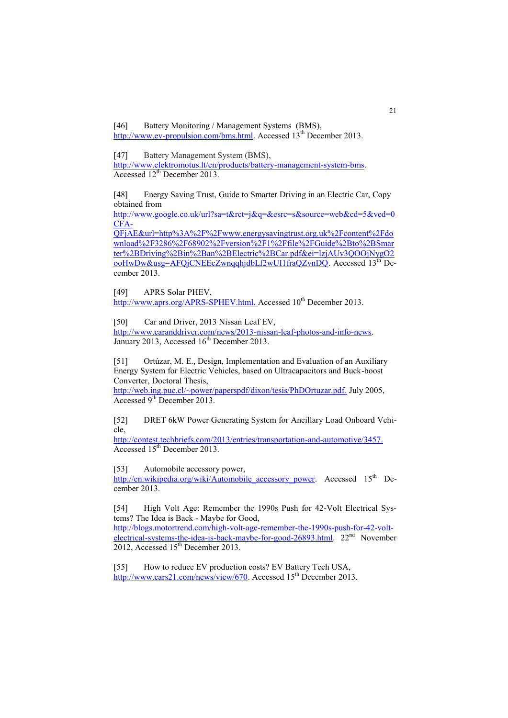[46] Battery Monitoring / Management Systems (BMS), [http://www.ev-propulsion.com/bms.html.](http://www.ev-propulsion.com/bms.html) Accessed 13<sup>th</sup> December 2013.

[47] Battery Management System (BMS),

[http://www.elektromotus.lt/en/products/battery-management-system-bms.](http://www.elektromotus.lt/en/products/battery-management-system-bms) Accessed 12<sup>th</sup> December 2013.

[48] Energy Saving Trust, Guide to Smarter Driving in an Electric Car, Copy obtained from

[http://www.google.co.uk/url?sa=t&rct=j&q=&esrc=s&source=web&cd=5&ved=0](http://www.google.co.uk/url?sa=t&rct=j&q=&esrc=s&source=web&cd=5&ved=0CFAQFjAE&url=http%3A%2F%2Fwww.energysavingtrust.org.uk%2Fcontent%2Fdownload%2F3286%2F68902%2Fversion%2F1%2Ffile%2FGuide%2Bto%2BSmarter%2BDriving%2Bin%2Ban%2BElectric%2BCar.pdf&ei=lzjAUv3QOOjNygO2ooHwDw&usg=AFQjCNEEcZwnqqhjdbLf2wUI1fraQZvnDQ) [CFA-](http://www.google.co.uk/url?sa=t&rct=j&q=&esrc=s&source=web&cd=5&ved=0CFAQFjAE&url=http%3A%2F%2Fwww.energysavingtrust.org.uk%2Fcontent%2Fdownload%2F3286%2F68902%2Fversion%2F1%2Ffile%2FGuide%2Bto%2BSmarter%2BDriving%2Bin%2Ban%2BElectric%2BCar.pdf&ei=lzjAUv3QOOjNygO2ooHwDw&usg=AFQjCNEEcZwnqqhjdbLf2wUI1fraQZvnDQ)

[QFjAE&url=http%3A%2F%2Fwww.energysavingtrust.org.uk%2Fcontent%2Fdo](http://www.google.co.uk/url?sa=t&rct=j&q=&esrc=s&source=web&cd=5&ved=0CFAQFjAE&url=http%3A%2F%2Fwww.energysavingtrust.org.uk%2Fcontent%2Fdownload%2F3286%2F68902%2Fversion%2F1%2Ffile%2FGuide%2Bto%2BSmarter%2BDriving%2Bin%2Ban%2BElectric%2BCar.pdf&ei=lzjAUv3QOOjNygO2ooHwDw&usg=AFQjCNEEcZwnqqhjdbLf2wUI1fraQZvnDQ) [wnload%2F3286%2F68902%2Fversion%2F1%2Ffile%2FGuide%2Bto%2BSmar](http://www.google.co.uk/url?sa=t&rct=j&q=&esrc=s&source=web&cd=5&ved=0CFAQFjAE&url=http%3A%2F%2Fwww.energysavingtrust.org.uk%2Fcontent%2Fdownload%2F3286%2F68902%2Fversion%2F1%2Ffile%2FGuide%2Bto%2BSmarter%2BDriving%2Bin%2Ban%2BElectric%2BCar.pdf&ei=lzjAUv3QOOjNygO2ooHwDw&usg=AFQjCNEEcZwnqqhjdbLf2wUI1fraQZvnDQ) [ter%2BDriving%2Bin%2Ban%2BElectric%2BCar.pdf&ei=lzjAUv3QOOjNygO2](http://www.google.co.uk/url?sa=t&rct=j&q=&esrc=s&source=web&cd=5&ved=0CFAQFjAE&url=http%3A%2F%2Fwww.energysavingtrust.org.uk%2Fcontent%2Fdownload%2F3286%2F68902%2Fversion%2F1%2Ffile%2FGuide%2Bto%2BSmarter%2BDriving%2Bin%2Ban%2BElectric%2BCar.pdf&ei=lzjAUv3QOOjNygO2ooHwDw&usg=AFQjCNEEcZwnqqhjdbLf2wUI1fraQZvnDQ) [ooHwDw&usg=AFQjCNEEcZwnqqhjdbLf2wUI1fraQZvnDQ.](http://www.google.co.uk/url?sa=t&rct=j&q=&esrc=s&source=web&cd=5&ved=0CFAQFjAE&url=http%3A%2F%2Fwww.energysavingtrust.org.uk%2Fcontent%2Fdownload%2F3286%2F68902%2Fversion%2F1%2Ffile%2FGuide%2Bto%2BSmarter%2BDriving%2Bin%2Ban%2BElectric%2BCar.pdf&ei=lzjAUv3QOOjNygO2ooHwDw&usg=AFQjCNEEcZwnqqhjdbLf2wUI1fraQZvnDQ) Accessed 13th December 2013.

[49] APRS Solar PHEV,

[http://www.aprs.org/APRS-SPHEV.html.](http://www.aprs.org/APRS-SPHEV.html) Accessed 10<sup>th</sup> December 2013.

[50] Car and Driver, 2013 Nissan Leaf EV,

[http://www.caranddriver.com/news/2013-nissan-leaf-photos-and-info-news.](http://www.caranddriver.com/news/2013-nissan-leaf-photos-and-info-news)  January 2013, Accessed 16<sup>th</sup> December 2013.

[51] Ortúzar, M. E., Design, Implementation and Evaluation of an Auxiliary Energy System for Electric Vehicles, based on Ultracapacitors and Buck-boost Converter, Doctoral Thesis,

[http://web.ing.puc.cl/~power/paperspdf/dixon/tesis/PhDOrtuzar.pdf.](http://web.ing.puc.cl/~power/paperspdf/dixon/tesis/PhDOrtuzar.pdf) July 2005. Accessed 9th December 2013.

[52] DRET 6kW Power Generating System for Ancillary Load Onboard Vehicle,

[http://contest.techbriefs.com/2013/entries/transportation-and-automotive/3457.](http://contest.techbriefs.com/2013/entries/transportation-and-automotive/3457) Accessed  $15<sup>th</sup>$  December 2013.

[53] Automobile accessory power,

[http://en.wikipedia.org/wiki/Automobile\\_accessory\\_power.](http://en.wikipedia.org/wiki/Automobile_accessory_power) Accessed 15<sup>th</sup> December 2013.

[54] High Volt Age: Remember the 1990s Push for 42-Volt Electrical Systems? The Idea is Back - Maybe for Good,

[http://blogs.motortrend.com/high-volt-age-remember-the-1990s-push-for-42-volt](http://blogs.motortrend.com/high-volt-age-remember-the-1990s-push-for-42-volt-electrical-systems-the-idea-is-back-maybe-for-good-26893.html)[electrical-systems-the-idea-is-back-maybe-for-good-26893.html.](http://blogs.motortrend.com/high-volt-age-remember-the-1990s-push-for-42-volt-electrical-systems-the-idea-is-back-maybe-for-good-26893.html) 22nd November  $2012$ , Accessed  $15<sup>th</sup>$  December 2013.

[55] How to reduce EV production costs? EV Battery Tech USA, [http://www.cars21.com/news/view/670.](http://www.cars21.com/news/view/670) Accessed 15<sup>th</sup> December 2013.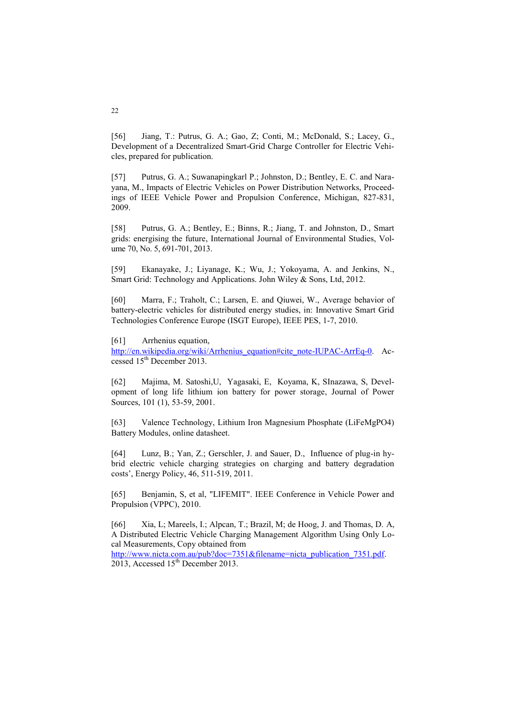[56] Jiang, T.: Putrus, G. A.; Gao, Z; Conti, M.; McDonald, S.; Lacey, G., Development of a Decentralized Smart-Grid Charge Controller for Electric Vehicles, prepared for publication.

[57] Putrus, G. A.; Suwanapingkarl P.; Johnston, D.; Bentley, E. C. and Narayana, M., Impacts of Electric Vehicles on Power Distribution Networks, Proceedings of IEEE Vehicle Power and Propulsion Conference, Michigan, 827-831, 2009.

[58] Putrus, G. A.; Bentley, E.; Binns, R.; Jiang, T. and Johnston, D., Smart grids: energising the future, International Journal of Environmental Studies, Volume 70, No. 5, 691-701, 2013.

[59] Ekanayake, J.; Liyanage, K.; Wu, J.; Yokoyama, A. and Jenkins, N., Smart Grid: Technology and Applications. John Wiley & Sons, Ltd, 2012.

[60] Marra, F.; Traholt, C.; Larsen, E. and Qiuwei, W., Average behavior of battery-electric vehicles for distributed energy studies, in: Innovative Smart Grid Technologies Conference Europe (ISGT Europe), IEEE PES, 1-7, 2010.

[61] Arrhenius equation,

[http://en.wikipedia.org/wiki/Arrhenius\\_equation#cite\\_note-IUPAC-ArrEq-0.](http://en.wikipedia.org/wiki/Arrhenius_equation#cite_note-IUPAC-ArrEq-0) Ac- $\csc 15^{th}$  December 2013.

[62] Majima, M. Satoshi,U, Yagasaki, E, Koyama, K, SInazawa, S, Development of long life lithium ion battery for power storage, Journal of Power Sources, 101 (1), 53-59, 2001.

[63] Valence Technology, Lithium Iron Magnesium Phosphate (LiFeMgPO4) Battery Modules, online datasheet.

[64] Lunz, B.; Yan, Z.; Gerschler, J. and Sauer, D., Influence of plug-in hybrid electric vehicle charging strategies on charging and battery degradation costs', Energy Policy, 46, 511-519, 2011.

[65] Benjamin, S, et al, "LIFEMIT". IEEE Conference in Vehicle Power and Propulsion (VPPC), 2010.

[66] Xia, L; Mareels, I.; Alpcan, T.; Brazil, M; de Hoog, J. and Thomas, D. A, A Distributed Electric Vehicle Charging Management Algorithm Using Only Local Measurements, Copy obtained from

[http://www.nicta.com.au/pub?doc=7351&filename=nicta\\_publication\\_7351.pdf.](http://www.nicta.com.au/pub?doc=7351&filename=nicta_publication_7351.pdf) 2013, Accessed 15<sup>th</sup> December 2013.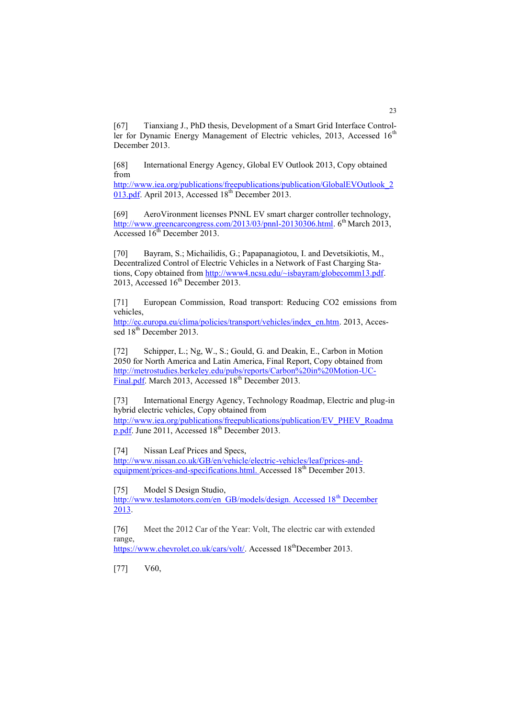[67] Tianxiang J., PhD thesis, Development of a Smart Grid Interface Controller for Dynamic Energy Management of Electric vehicles, 2013, Accessed 16<sup>th</sup> December 2013.

[68] International Energy Agency, Global EV Outlook 2013, Copy obtained from

[http://www.iea.org/publications/freepublications/publication/GlobalEVOutlook\\_2](http://www.iea.org/publications/freepublications/publication/GlobalEVOutlook_2013.pdf) [013.pdf.](http://www.iea.org/publications/freepublications/publication/GlobalEVOutlook_2013.pdf) April 2013, Accessed  $18<sup>th</sup>$  December 2013.

[69] AeroVironment licenses PNNL EV smart charger controller technology, [http://www.greencarcongress.com/2013/03/pnnl-20130306.html.](http://www.greencarcongress.com/2013/03/pnnl-20130306.html)  $6<sup>th</sup>$  March 2013, Accessed 16<sup>th</sup> December 2013.

[70] Bayram, S.; Michailidis, G.; Papapanagiotou, I. and Devetsikiotis, M., Decentralized Control of Electric Vehicles in a Network of Fast Charging Stations, Copy obtained fro[m http://www4.ncsu.edu/~isbayram/globecomm13.pdf.](http://www4.ncsu.edu/~isbayram/globecomm13.pdf) 2013, Accessed  $16^{th}$  December 2013.

[71] European Commission, Road transport: Reducing CO2 emissions from vehicles,

[http://ec.europa.eu/clima/policies/transport/vehicles/index\\_en.htm.](http://ec.europa.eu/clima/policies/transport/vehicles/index_en.htm) 2013, Accessed 18<sup>th</sup> December 2013.

[72] Schipper, L.; Ng, W., S.; Gould, G. and Deakin, E., Carbon in Motion 2050 for North America and Latin America, Final Report, Copy obtained from [http://metrostudies.berkeley.edu/pubs/reports/Carbon%20in%20Motion-UC-](http://metrostudies.berkeley.edu/pubs/reports/Carbon%20in%20Motion-UC-Final.pdf)[Final.pdf.](http://metrostudies.berkeley.edu/pubs/reports/Carbon%20in%20Motion-UC-Final.pdf) March 2013, Accessed 18<sup>th</sup> December 2013.

[73] International Energy Agency, Technology Roadmap, Electric and plug-in hybrid electric vehicles, Copy obtained from [http://www.iea.org/publications/freepublications/publication/EV\\_PHEV\\_Roadma](http://www.iea.org/publications/freepublications/publication/EV_PHEV_Roadmap.pdf) [p.pdf.](http://www.iea.org/publications/freepublications/publication/EV_PHEV_Roadmap.pdf) June 2011, Accessed  $18^{th}$  December 2013.

[74] Nissan Leaf Prices and Specs,

[http://www.nissan.co.uk/GB/en/vehicle/electric-vehicles/leaf/prices-and](http://www.nissan.co.uk/GB/en/vehicle/electric-vehicles/leaf/prices-and-equipment/prices-and-specifications.html)[equipment/prices-and-specifications.html.](http://www.nissan.co.uk/GB/en/vehicle/electric-vehicles/leaf/prices-and-equipment/prices-and-specifications.html) Accessed 18<sup>th</sup> December 2013.

[75] Model S Design Studio,

[http://www.teslamotors.com/en\\_GB/models/design. Accessed 18](http://www.teslamotors.com/en_GB/models/design.%20Accessed%2018th%20December%202013)<sup>th</sup> December [2013.](http://www.teslamotors.com/en_GB/models/design.%20Accessed%2018th%20December%202013)

[76] Meet the 2012 Car of the Year: Volt, The electric car with extended range,

[https://www.chevrolet.co.uk/cars/volt/.](https://www.chevrolet.co.uk/cars/volt/) Accessed 18<sup>th</sup>December 2013.

[77] V60,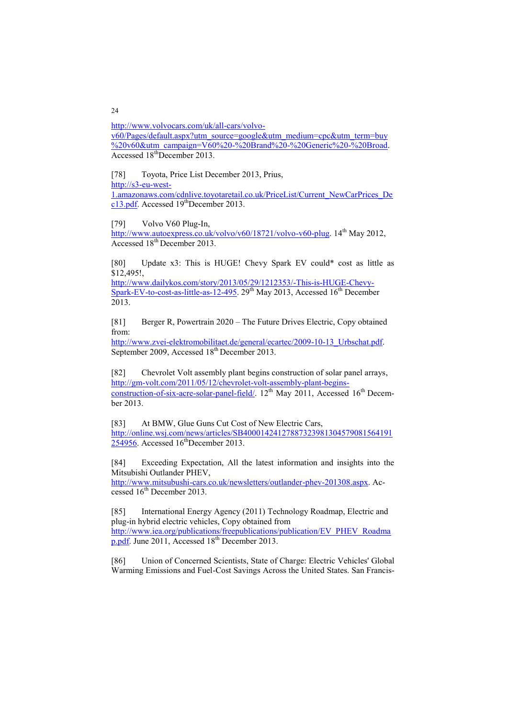[http://www.volvocars.com/uk/all-cars/volvo](http://www.volvocars.com/uk/all-cars/volvo-v60/Pages/default.aspx?utm_source=google&utm_medium=cpc&utm_term=buy%20v60&utm_campaign=V60%20-%20Brand%20-%20Generic%20-%20Broad)[v60/Pages/default.aspx?utm\\_source=google&utm\\_medium=cpc&utm\\_term=buy](http://www.volvocars.com/uk/all-cars/volvo-v60/Pages/default.aspx?utm_source=google&utm_medium=cpc&utm_term=buy%20v60&utm_campaign=V60%20-%20Brand%20-%20Generic%20-%20Broad) [%20v60&utm\\_campaign=V60%20-%20Brand%20-%20Generic%20-%20Broad.](http://www.volvocars.com/uk/all-cars/volvo-v60/Pages/default.aspx?utm_source=google&utm_medium=cpc&utm_term=buy%20v60&utm_campaign=V60%20-%20Brand%20-%20Generic%20-%20Broad) Accessed 18<sup>th</sup>December 2013.

[78] Toyota, Price List December 2013, Prius, [http://s3-eu-west-](http://s3-eu-west-1.amazonaws.com/cdnlive.toyotaretail.co.uk/PriceList/Current_NewCarPrices_Dec13.pdf)[1.amazonaws.com/cdnlive.toyotaretail.co.uk/PriceList/Current\\_NewCarPrices\\_De](http://s3-eu-west-1.amazonaws.com/cdnlive.toyotaretail.co.uk/PriceList/Current_NewCarPrices_Dec13.pdf) c<sub>13.pdf</sub>. Accessed 19<sup>th</sup>December 2013.

[79] Volvo V60 Plug-In,

[http://www.autoexpress.co.uk/volvo/v60/18721/volvo-v60-plug.](http://www.autoexpress.co.uk/volvo/v60/18721/volvo-v60-plug)  $14<sup>th</sup>$  May 2012, Accessed 18<sup>th</sup> December 2013.

[80] [Update x3: This is HUGE! Chevy Spark EV could\\* cost as little as](http://www.dailykos.com/story/2013/05/29/1212353/-This-is-HUGE-Chevy-Spark-EV-to-cost-as-little-as-12-495)  [\\$12,495!,](http://www.dailykos.com/story/2013/05/29/1212353/-This-is-HUGE-Chevy-Spark-EV-to-cost-as-little-as-12-495)

[http://www.dailykos.com/story/2013/05/29/1212353/-This-is-HUGE-Chevy-](http://www.dailykos.com/story/2013/05/29/1212353/-This-is-HUGE-Chevy-Spark-EV-to-cost-as-little-as-12-495)[Spark-EV-to-cost-as-little-as-12-495.](http://www.dailykos.com/story/2013/05/29/1212353/-This-is-HUGE-Chevy-Spark-EV-to-cost-as-little-as-12-495) 29<sup>th</sup> May 2013, Accessed 16<sup>th</sup> December 2013.

[81] Berger R, Powertrain 2020 – The Future Drives Electric, Copy obtained from:

[http://www.zvei-elektromobilitaet.de/general/ecartec/2009-10-13\\_Urbschat.pdf.](http://www.zvei-elektromobilitaet.de/general/ecartec/2009-10-13_Urbschat.pdf)  September 2009, Accessed 18<sup>th</sup> December 2013.

[82] [Chevrolet Volt assembly plant begins construction of solar panel arrays,](http://gm-volt.com/2011/05/12/chevrolet-volt-assembly-plant-begins-construction-of-six-acre-solar-panel-field/) [http://gm-volt.com/2011/05/12/chevrolet-volt-assembly-plant-begins](http://gm-volt.com/2011/05/12/chevrolet-volt-assembly-plant-begins-construction-of-six-acre-solar-panel-field/)[construction-of-six-acre-solar-panel-field/.](http://gm-volt.com/2011/05/12/chevrolet-volt-assembly-plant-begins-construction-of-six-acre-solar-panel-field/) 12<sup>th</sup> May 2011, Accessed 16<sup>th</sup> December 2013.

[83] At BMW, Glue Guns Cut Cost of New Electric Cars, [http://online.wsj.com/news/articles/SB40001424127887323981304579081564191](http://online.wsj.com/news/articles/SB40001424127887323981304579081564191254956) [254956.](http://online.wsj.com/news/articles/SB40001424127887323981304579081564191254956) Accessed  $16^{\text{th}}$ December 2013.

[84] Exceeding Expectation, All the latest information and insights into the Mitsubishi Outlander PHEV,

[http://www.mitsubushi-cars.co.uk/newsletters/outlander-phev-201308.aspx.](http://www.mitsubushi-cars.co.uk/newsletters/outlander-phev-201308.aspx) Accessed  $16<sup>th</sup>$  December 2013.

[85] International Energy Agency (2011) Technology Roadmap, Electric and plug-in hybrid electric vehicles, Copy obtained from [http://www.iea.org/publications/freepublications/publication/EV\\_PHEV\\_Roadma](http://www.iea.org/publications/freepublications/publication/EV_PHEV_Roadmap.pdf) [p.pdf.](http://www.iea.org/publications/freepublications/publication/EV_PHEV_Roadmap.pdf) June 2011, Accessed 18<sup>th</sup> December 2013.

[86] Union of Concerned Scientists, State of Charge: Electric Vehicles' Global Warming Emissions and Fuel-Cost Savings Across the United States. San Francis-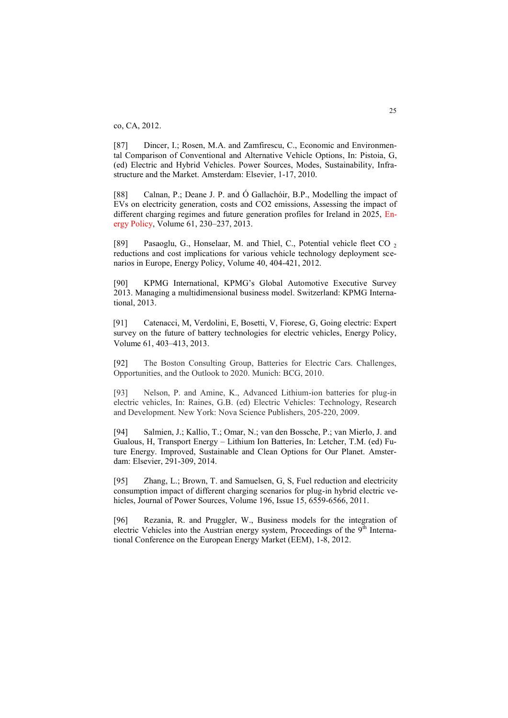co, CA, 2012.

[87] Dincer, I.; Rosen, M.A. and Zamfirescu, C., Economic and Environmental Comparison of Conventional and Alternative Vehicle Options, In: Pistoia, G, (ed) Electric and Hybrid Vehicles. Power Sources, Modes, Sustainability, Infrastructure and the Market. Amsterdam: Elsevier, 1-17, 2010.

[88] Calnan, P.; Deane J. P. and Ó Gallachóir, B.P., Modelling the impact of EVs on electricity generation, costs and CO2 emissions, Assessing the impact of different charging regimes and future generation profiles for Ireland in 2025, Energy Policy, Volume 61, 230–237, 2013.

[89] Pasaoglu, G., Honselaar, M. and Thiel, C., Potential vehicle fleet CO 2 reductions and cost implications for various vehicle technology deployment scenarios in Europe, Energy Policy, Volume 40, 404-421, 2012.

[90] KPMG International, KPMG's Global Automotive Executive Survey 2013. Managing a multidimensional business model. Switzerland: KPMG International, 2013.

[91] Catenacci, M, Verdolini, E, Bosetti, V, Fiorese, G, Going electric: Expert survey on the future of battery technologies for electric vehicles, Energy Policy, Volume 61, 403–413, 2013.

[92] The Boston Consulting Group, Batteries for Electric Cars. Challenges, Opportunities, and the Outlook to 2020. Munich: BCG, 2010.

[93] Nelson, P. and Amine, K., Advanced Lithium-ion batteries for plug-in electric vehicles, In: Raines, G.B. (ed) Electric Vehicles: Technology, Research and Development. New York: Nova Science Publishers, 205-220, 2009.

[94] Salmien, J.; Kallio, T.; Omar, N.; van den Bossche, P.; van Mierlo, J. and Gualous, H, Transport Energy – Lithium Ion Batteries, In: Letcher, T.M. (ed) Future Energy. Improved, Sustainable and Clean Options for Our Planet. Amsterdam: Elsevier, 291-309, 2014.

[95] Zhang, L.; Brown, T. and Samuelsen, G, S, Fuel reduction and electricity consumption impact of different charging scenarios for plug-in hybrid electric vehicles, Journal of Power Sources, Volume 196, Issue 15, 6559-6566, 2011.

[96] Rezania, R. and Pruggler, W., Business models for the integration of electric Vehicles into the Austrian energy system, Proceedings of the  $9<sup>th</sup>$  International Conference on the European Energy Market (EEM), 1-8, 2012.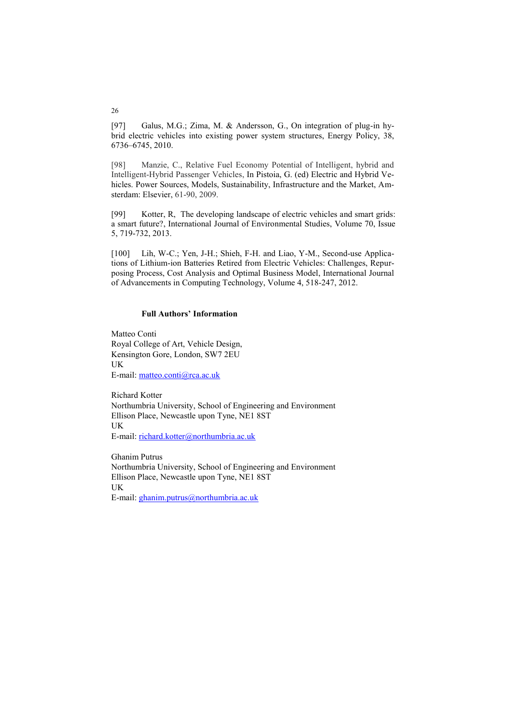[97] Galus, M.G.; Zima, M. & Andersson, G., On integration of plug-in hybrid electric vehicles into existing power system structures, Energy Policy, 38, 6736–6745, 2010.

[98] Manzie, C., Relative Fuel Economy Potential of Intelligent, hybrid and Intelligent-Hybrid Passenger Vehicles, In Pistoia, G. (ed) Electric and Hybrid Vehicles. Power Sources, Models, Sustainability, Infrastructure and the Market, Amsterdam: Elsevier, 61-90, 2009.

[99] Kotter, R, The developing landscape of electric vehicles and smart grids: a smart future?, International Journal of Environmental Studies, [Volume 70,](http://www.tandfonline.com/loi/genv20?open=70#vol_70) [Issue](http://www.tandfonline.com/toc/genv20/70/5)  [5,](http://www.tandfonline.com/toc/genv20/70/5) 719-732, 2013.

[100] Lih, W-C.; Yen, J-H.; Shieh, F-H. and Liao, Y-M., Second-use Applications of Lithium-ion Batteries Retired from Electric Vehicles: Challenges, Repurposing Process, Cost Analysis and Optimal Business Model, International Journal of Advancements in Computing Technology, Volume 4, 518-247, 2012.

## **Full Authors' Information**

Matteo Conti Royal College of Art, Vehicle Design, Kensington Gore, London, SW7 2EU UK E-mail: [matteo.conti@rca.ac.uk](mailto:matteo.conti@rca.ac.uk)

Richard Kotter Northumbria University, School of Engineering and Environment Ellison Place, Newcastle upon Tyne, NE1 8ST UK E-mail: [richard.kotter@northumbria.ac.uk](mailto:richard.kotter@northumbria.ac.uk)

Ghanim Putrus Northumbria University, School of Engineering and Environment Ellison Place, Newcastle upon Tyne, NE1 8ST UK E-mail: [ghanim.putrus@northumbria.ac.uk](mailto:ghanim.putrus@northumbria.ac.uk)